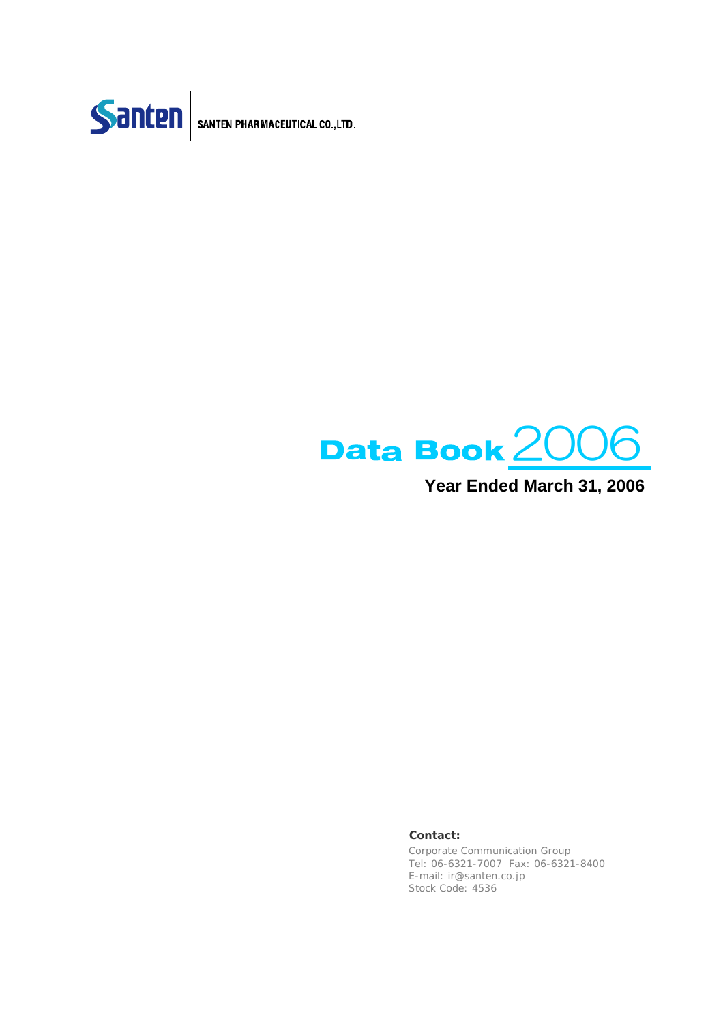



**Year Ended March 31, 2006**

**Contact:**

Corporate Communication Group Tel: 06-6321-7007 Fax: 06-6321-8400 E-mail: ir@santen.co.jp Stock Code: 4536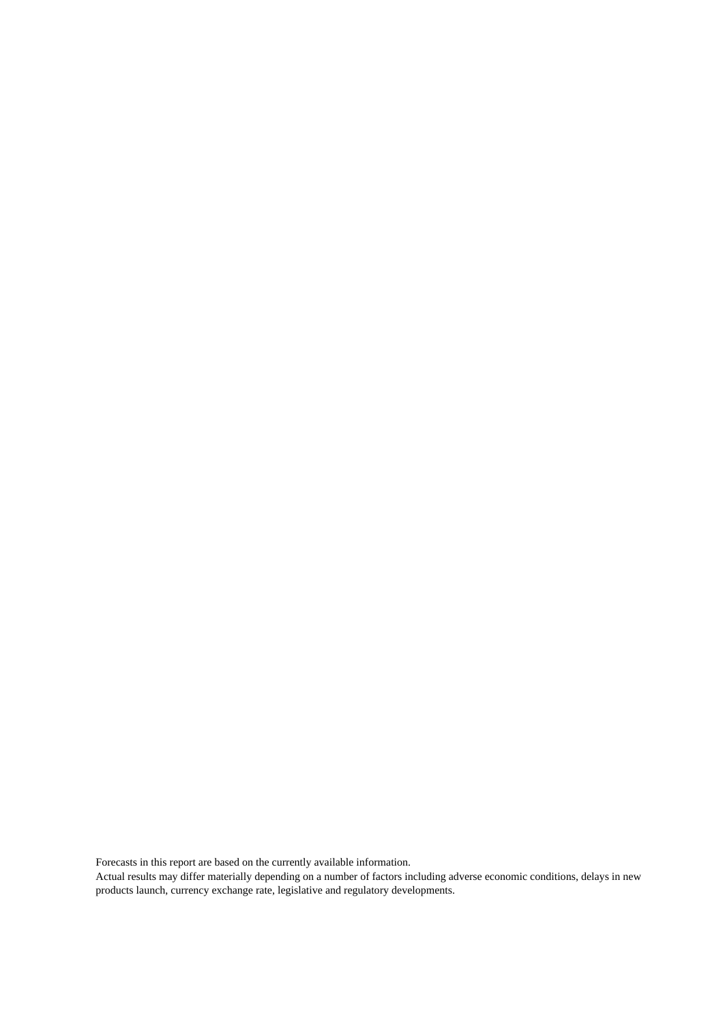Forecasts in this report are based on the currently available information.

Actual results may differ materially depending on a number of factors including adverse economic conditions, delays in new products launch, currency exchange rate, legislative and regulatory developments.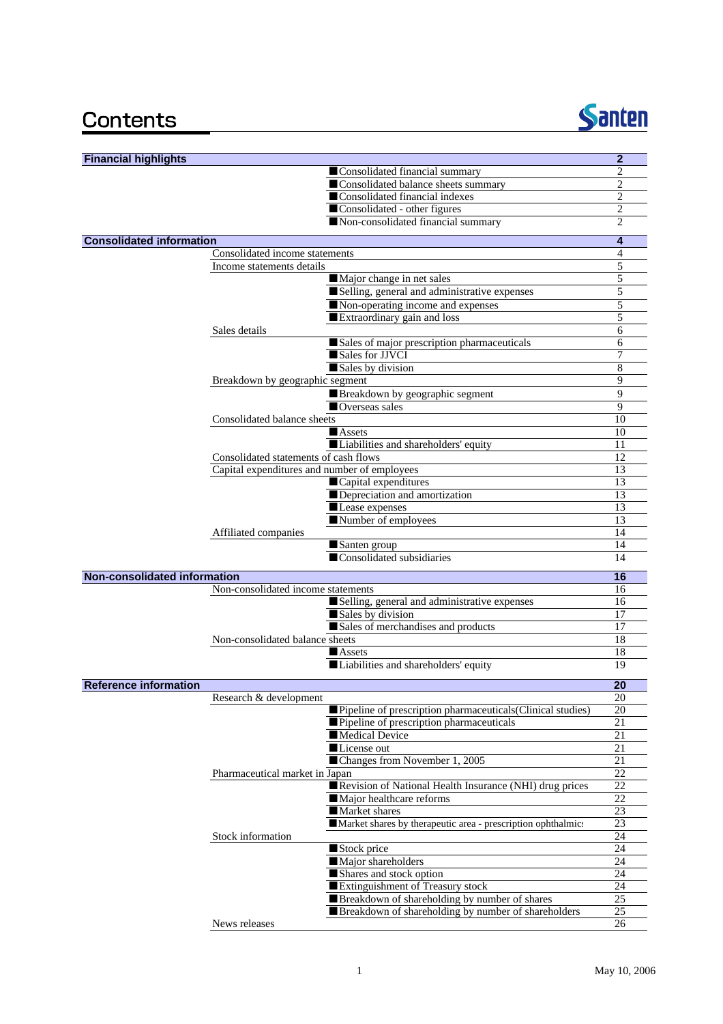# Contents



| <b>Financial highlights</b>     |                                              |                                                               | $\overline{2}$ |
|---------------------------------|----------------------------------------------|---------------------------------------------------------------|----------------|
|                                 |                                              | Consolidated financial summary                                | 2              |
|                                 |                                              | Consolidated balance sheets summary                           | 2              |
|                                 |                                              | Consolidated financial indexes                                | 2              |
|                                 |                                              | Consolidated - other figures                                  | 2              |
|                                 |                                              | Non-consolidated financial summary                            | $\overline{2}$ |
| <b>Consolidated information</b> |                                              |                                                               | 4              |
|                                 | Consolidated income statements               |                                                               | 4              |
|                                 | Income statements details                    |                                                               | 5              |
|                                 |                                              | Major change in net sales                                     | 5              |
|                                 |                                              | Selling, general and administrative expenses                  | 5              |
|                                 |                                              | Non-operating income and expenses                             | 5              |
|                                 |                                              | Extraordinary gain and loss                                   | 5              |
|                                 | Sales details                                |                                                               | 6              |
|                                 |                                              | Sales of major prescription pharmaceuticals                   | 6              |
|                                 |                                              | Sales for JJVCI                                               | 7              |
|                                 |                                              | Sales by division                                             | 8              |
|                                 | Breakdown by geographic segment              |                                                               | 9              |
|                                 |                                              | Breakdown by geographic segment                               | 9              |
|                                 |                                              | ■ Overseas sales                                              | $\overline{9}$ |
|                                 | Consolidated balance sheets                  |                                                               | 10             |
|                                 |                                              | <b>Assets</b>                                                 | 10             |
|                                 |                                              | Liabilities and shareholders' equity                          | 11             |
|                                 | Consolidated statements of cash flows        |                                                               | 12             |
|                                 | Capital expenditures and number of employees |                                                               | 13             |
|                                 |                                              | Capital expenditures                                          | 13             |
|                                 |                                              | Depreciation and amortization                                 | 13             |
|                                 |                                              | Lease expenses                                                | 13             |
|                                 |                                              | Number of employees                                           | 13             |
|                                 | Affiliated companies                         |                                                               | 14             |
|                                 |                                              | Santen group<br>Consolidated subsidiaries                     | 14<br>14       |
|                                 |                                              |                                                               |                |
| Non-consolidated information    |                                              |                                                               | 16             |
|                                 | Non-consolidated income statements           |                                                               | 16             |
|                                 |                                              | Selling, general and administrative expenses                  | 16             |
|                                 |                                              | Sales by division                                             | 17             |
|                                 |                                              | Sales of merchandises and products                            | 17             |
|                                 | Non-consolidated balance sheets              | <b>Assets</b>                                                 | 18<br>18       |
|                                 |                                              |                                                               |                |
|                                 |                                              | Liabilities and shareholders' equity                          | 19             |
| <b>Reference information</b>    |                                              |                                                               | 20             |
|                                 | Research & development                       |                                                               | 20             |
|                                 |                                              | Pipeline of prescription pharmaceuticals (Clinical studies)   | 20             |
|                                 |                                              | Pipeline of prescription pharmaceuticals                      | 21             |
|                                 |                                              | <b>Medical Device</b>                                         | 21             |
|                                 |                                              | License out                                                   | 21             |
|                                 |                                              | ■Changes from November 1, 2005                                | 21             |
|                                 | Pharmaceutical market in Japan               | Revision of National Health Insurance (NHI) drug prices       | 22<br>22       |
|                                 |                                              | Major healthcare reforms                                      | 22             |
|                                 |                                              | Market shares                                                 | 23             |
|                                 |                                              | Market shares by the rapeutic area - prescription ophthalmics | 23             |
|                                 | Stock information                            |                                                               | 24             |
|                                 |                                              | Stock price                                                   | 24             |
|                                 |                                              | Major shareholders                                            | 24             |
|                                 |                                              | Shares and stock option                                       | 24             |
|                                 |                                              | Extinguishment of Treasury stock                              | 24             |
|                                 |                                              | ■ Breakdown of shareholding by number of shares               | 25             |
|                                 |                                              | Breakdown of shareholding by number of shareholders           | 25             |
|                                 | News releases                                |                                                               | 26             |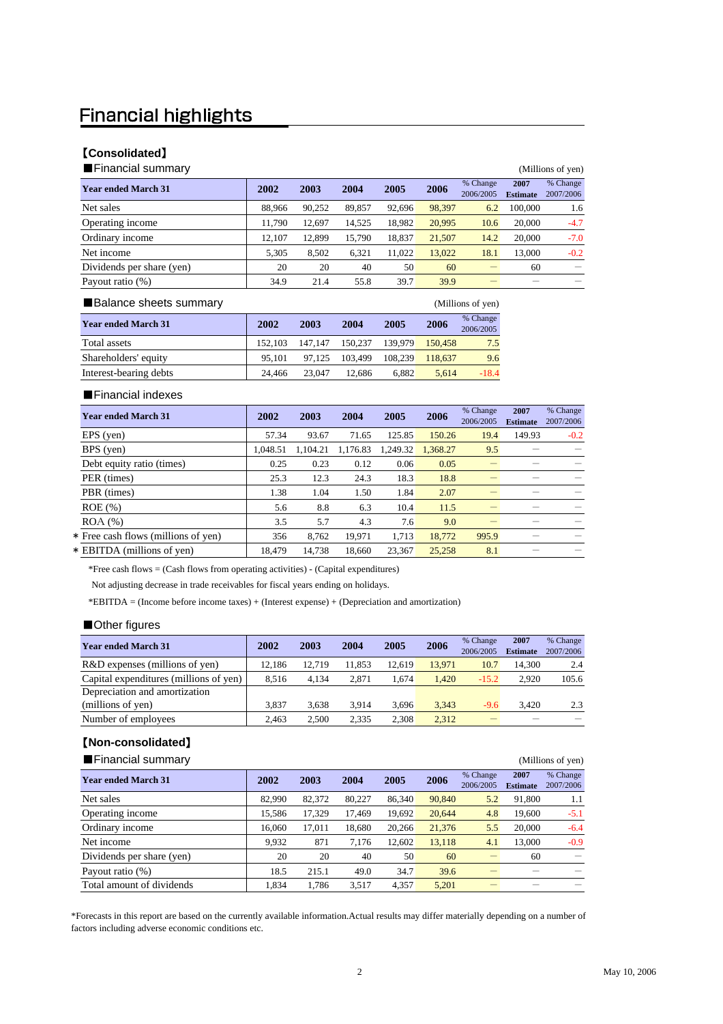# **Financial highlights**

# 【**Consolidated**】

| ■ Financial summary        |        |        |        |        |        |                       |                         | (Millions of yen)     |
|----------------------------|--------|--------|--------|--------|--------|-----------------------|-------------------------|-----------------------|
| <b>Year ended March 31</b> | 2002   | 2003   | 2004   | 2005   | 2006   | % Change<br>2006/2005 | 2007<br><b>Estimate</b> | % Change<br>2007/2006 |
| Net sales                  | 88.966 | 90,252 | 89,857 | 92.696 | 98,397 | 6.2                   | 100,000                 | 1.6                   |
| Operating income           | 11.790 | 12.697 | 14.525 | 18.982 | 20,995 | 10.6                  | 20,000                  | $-4.7$                |
| Ordinary income            | 12.107 | 12.899 | 15.790 | 18,837 | 21,507 | 14.2                  | 20,000                  | $-7.0$                |
| Net income                 | 5,305  | 8,502  | 6.321  | 11.022 | 13,022 | 18.1                  | 13.000                  | $-0.2$                |
| Dividends per share (yen)  | 20     | 20     | 40     | 50     | 60     |                       | 60                      |                       |
| Payout ratio (%)           | 34.9   | 21.4   | 55.8   | 39.7   | 39.9   |                       |                         |                       |

#### ■Balance sheets summary (Millions of yen)

| $\blacksquare$             |         |         |         |         |         | $\frac{1}{1}$         |
|----------------------------|---------|---------|---------|---------|---------|-----------------------|
| <b>Year ended March 31</b> | 2002    | 2003    | 2004    | 2005    | 2006    | % Change<br>2006/2005 |
| Total assets               | 152,103 | 147.147 | 150,237 | 139.979 | 150.458 | 7.5                   |
| Shareholders' equity       | 95.101  | 97.125  | 103.499 | 108.239 | 118.637 | 9.6                   |
| Interest-bearing debts     | 24,466  | 23,047  | 12.686  | 6.882   | 5.614   | $-18.4$               |

#### ■Financial indexes

| <b>Year ended March 31</b>          | 2002     | 2003     | 2004     | 2005     | 2006     | % Change<br>2006/2005 | 2007<br><b>Estimate</b> | % Change<br>2007/2006 |
|-------------------------------------|----------|----------|----------|----------|----------|-----------------------|-------------------------|-----------------------|
| EPS (yen)                           | 57.34    | 93.67    | 71.65    | 125.85   | 150.26   | 19.4                  | 149.93                  | $-0.2$                |
| BPS (yen)                           | 1.048.51 | 1.104.21 | 1.176.83 | 1.249.32 | 1.368.27 | 9.5                   |                         |                       |
| Debt equity ratio (times)           | 0.25     | 0.23     | 0.12     | 0.06     | 0.05     |                       |                         |                       |
| PER (times)                         | 25.3     | 12.3     | 24.3     | 18.3     | 18.8     |                       |                         |                       |
| PBR (times)                         | 1.38     | 1.04     | 1.50     | 1.84     | 2.07     |                       |                         |                       |
| $ROE$ $(\%)$                        | 5.6      | 8.8      | 6.3      | 10.4     | 11.5     |                       |                         |                       |
| $ROA$ $%$                           | 3.5      | 5.7      | 4.3      | 7.6      | 9.0      |                       |                         |                       |
| * Free cash flows (millions of yen) | 356      | 8.762    | 19,971   | 1,713    | 18,772   | 995.9                 |                         |                       |
| * EBITDA (millions of yen)          | 18.479   | 14,738   | 18.660   | 23,367   | 25,258   | 8.1                   |                         |                       |

\*Free cash flows = (Cash flows from operating activities) - (Capital expenditures)

Not adjusting decrease in trade receivables for fiscal years ending on holidays.

\*EBITDA = (Income before income taxes) + (Interest expense) + (Depreciation and amortization)

#### ■Other figures

| <b>Year ended March 31</b>             | 2002   | 2003   | 2004   | 2005   | 2006   | % Change<br>2006/2005 | 2007<br><b>Estimate</b> | % Change<br>2007/2006 |
|----------------------------------------|--------|--------|--------|--------|--------|-----------------------|-------------------------|-----------------------|
|                                        |        |        |        |        |        |                       |                         |                       |
| R&D expenses (millions of yen)         | 12.186 | 12.719 | 11.853 | 12.619 | 13.971 | 10.7                  | 14.300                  | 2.4                   |
| Capital expenditures (millions of yen) | 8,516  | 4.134  | 2.871  | 1.674  | 1.420  | $-15.2$               | 2.920                   | 105.6                 |
| Depreciation and amortization          |        |        |        |        |        |                       |                         |                       |
| (millions of yen)                      | 3.837  | 3.638  | 3.914  | 3.696  | 3.343  | $-9.6$                | 3.420                   | 2.3                   |
| Number of employees                    | 2.463  | 2.500  | 2.335  | 2.308  | 2.312  |                       |                         |                       |

## 【**Non-consolidated**】

| ■Financial summary<br>(Millions of yen) |        |        |        |        |        |                       |                         |                       |
|-----------------------------------------|--------|--------|--------|--------|--------|-----------------------|-------------------------|-----------------------|
| <b>Year ended March 31</b>              | 2002   | 2003   | 2004   | 2005   | 2006   | % Change<br>2006/2005 | 2007<br><b>Estimate</b> | % Change<br>2007/2006 |
| Net sales                               | 82,990 | 82,372 | 80,227 | 86,340 | 90,840 | 5.2                   | 91.800                  | 1.1                   |
| Operating income                        | 15.586 | 17,329 | 17.469 | 19,692 | 20,644 | 4.8                   | 19.600                  | $-5.1$                |
| Ordinary income                         | 16.060 | 17.011 | 18.680 | 20,266 | 21,376 | 5.5                   | 20,000                  | $-6.4$                |
| Net income                              | 9,932  | 871    | 7,176  | 12,602 | 13,118 | 4.1                   | 13,000                  | $-0.9$                |
| Dividends per share (yen)               | 20     | 20     | 40     | 50     | 60     |                       | 60                      |                       |
| Payout ratio (%)                        | 18.5   | 215.1  | 49.0   | 34.7   | 39.6   |                       |                         |                       |
| Total amount of dividends               | 1.834  | 1.786  | 3.517  | 4.357  | 5.201  |                       |                         |                       |

\*Forecasts in this report are based on the currently available information.Actual results may differ materially depending on a number of factors including adverse economic conditions etc.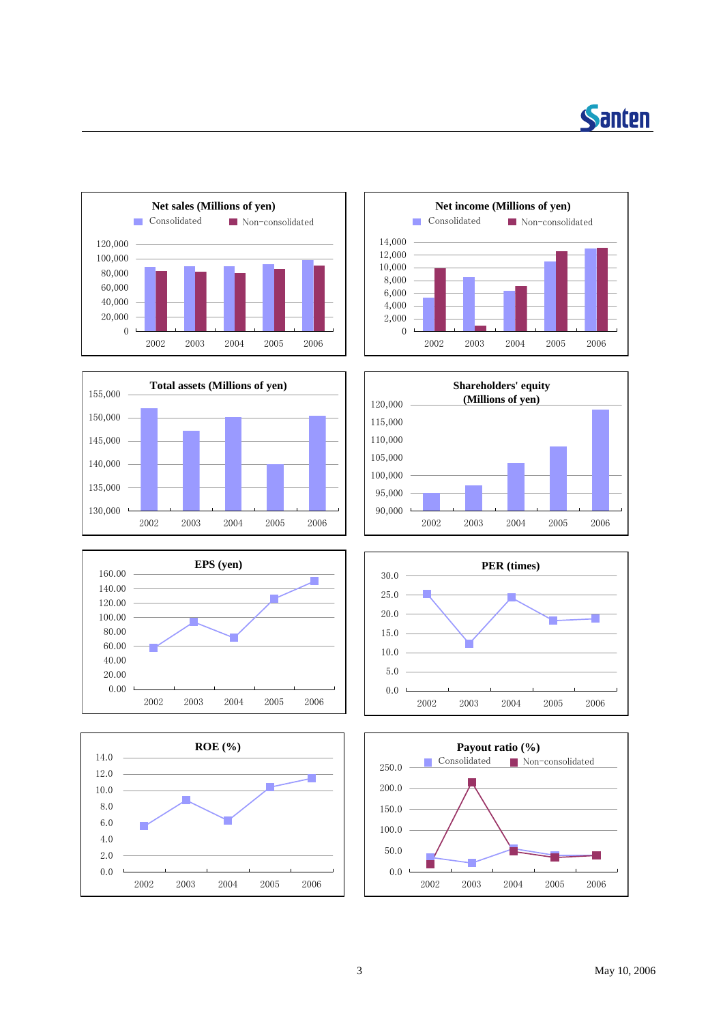















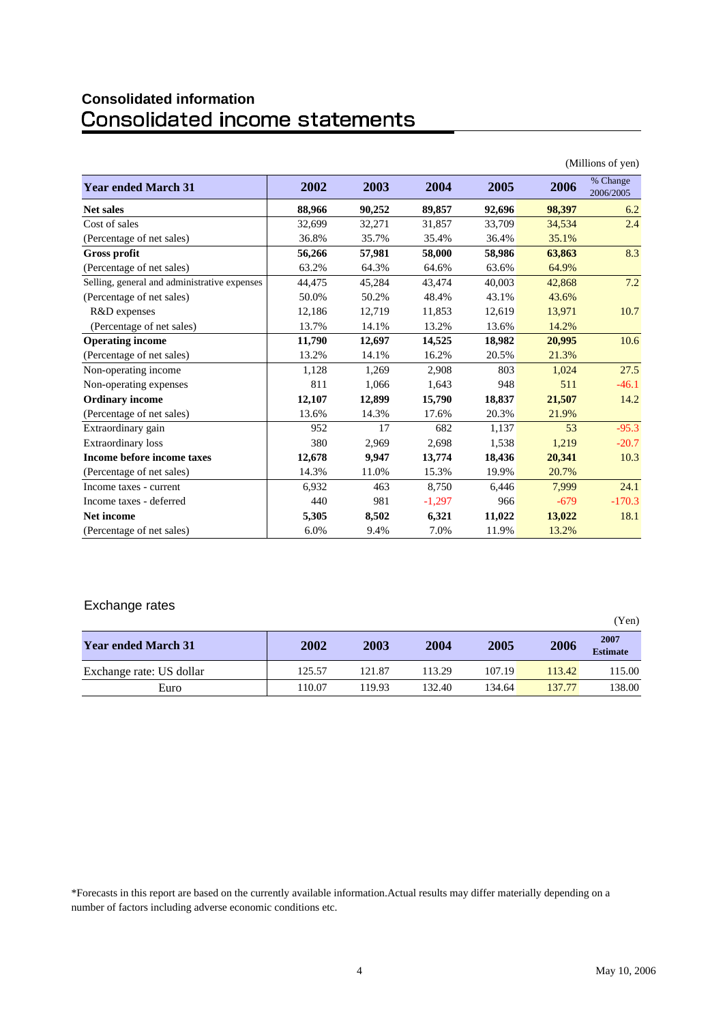# **Consolidated information**

|                                              |        |        |          |        |        | (Millions of yen)     |
|----------------------------------------------|--------|--------|----------|--------|--------|-----------------------|
| <b>Year ended March 31</b>                   | 2002   | 2003   | 2004     | 2005   | 2006   | % Change<br>2006/2005 |
| <b>Net sales</b>                             | 88,966 | 90,252 | 89,857   | 92.696 | 98,397 | 6.2                   |
| Cost of sales                                | 32,699 | 32,271 | 31,857   | 33,709 | 34,534 | 2.4                   |
| (Percentage of net sales)                    | 36.8%  | 35.7%  | 35.4%    | 36.4%  | 35.1%  |                       |
| <b>Gross profit</b>                          | 56,266 | 57,981 | 58,000   | 58,986 | 63,863 | 8.3                   |
| (Percentage of net sales)                    | 63.2%  | 64.3%  | 64.6%    | 63.6%  | 64.9%  |                       |
| Selling, general and administrative expenses | 44,475 | 45,284 | 43,474   | 40,003 | 42,868 | 7.2                   |
| (Percentage of net sales)                    | 50.0%  | 50.2%  | 48.4%    | 43.1%  | 43.6%  |                       |
| R&D expenses                                 | 12,186 | 12,719 | 11,853   | 12,619 | 13,971 | 10.7                  |
| (Percentage of net sales)                    | 13.7%  | 14.1%  | 13.2%    | 13.6%  | 14.2%  |                       |
| <b>Operating income</b>                      | 11,790 | 12,697 | 14,525   | 18,982 | 20,995 | 10.6                  |
| (Percentage of net sales)                    | 13.2%  | 14.1%  | 16.2%    | 20.5%  | 21.3%  |                       |
| Non-operating income                         | 1,128  | 1,269  | 2,908    | 803    | 1,024  | 27.5                  |
| Non-operating expenses                       | 811    | 1,066  | 1,643    | 948    | 511    | $-46.1$               |
| <b>Ordinary income</b>                       | 12,107 | 12,899 | 15,790   | 18,837 | 21,507 | 14.2                  |
| (Percentage of net sales)                    | 13.6%  | 14.3%  | 17.6%    | 20.3%  | 21.9%  |                       |
| Extraordinary gain                           | 952    | 17     | 682      | 1,137  | 53     | $-95.3$               |
| Extraordinary loss                           | 380    | 2,969  | 2,698    | 1,538  | 1,219  | $-20.7$               |
| Income before income taxes                   | 12,678 | 9.947  | 13,774   | 18,436 | 20,341 | 10.3                  |
| (Percentage of net sales)                    | 14.3%  | 11.0%  | 15.3%    | 19.9%  | 20.7%  |                       |
| Income taxes - current                       | 6,932  | 463    | 8,750    | 6,446  | 7,999  | 24.1                  |
| Income taxes - deferred                      | 440    | 981    | $-1,297$ | 966    | $-679$ | $-170.3$              |
| Net income                                   | 5,305  | 8,502  | 6,321    | 11,022 | 13,022 | 18.1                  |
| (Percentage of net sales)                    | 6.0%   | 9.4%   | 7.0%     | 11.9%  | 13.2%  |                       |

# Exchange rates

| . .                        |        |        |        |        |        | (Yen)                   |
|----------------------------|--------|--------|--------|--------|--------|-------------------------|
| <b>Year ended March 31</b> | 2002   | 2003   | 2004   | 2005   | 2006   | 2007<br><b>Estimate</b> |
| Exchange rate: US dollar   | 125.57 | 121.87 | 113.29 | 107.19 | 113.42 | 115.00                  |
| Euro                       | 110.07 | 119.93 | 132.40 | 134.64 | 137.77 | 138.00                  |

\*Forecasts in this report are based on the currently available information.Actual results may differ materially depending on a number of factors including adverse economic conditions etc.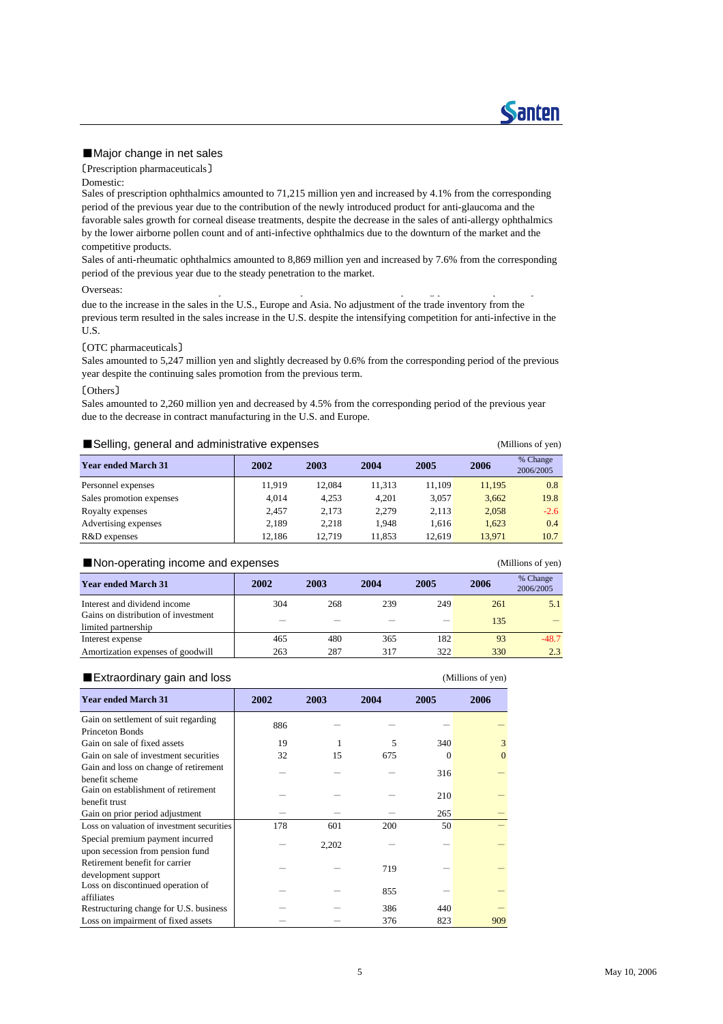#### ■Major change in net sales

〔Prescription pharmaceuticals〕

#### Domestic:

Sales of prescription ophthalmics amounted to 71,215 million yen and increased by 4.1% from the corresponding period of the previous year due to the contribution of the newly introduced product for anti-glaucoma and the favorable sales growth for corneal disease treatments, despite the decrease in the sales of anti-allergy ophthalmics by the lower airborne pollen count and of anti-infective ophthalmics due to the downturn of the market and the competitive products.

Sales of anti-rheumatic ophthalmics amounted to 8,869 million yen and increased by 7.6% from the corresponding period of the previous year due to the steady penetration to the market.

#### Overseas:

, y y p gp p  $g$  y p  $g$  y p  $g$  p  $\bar{g}$  y p  $\bar{g}$  y p  $\bar{g}$  y p  $\bar{g}$  y p  $\bar{g}$ due to the increase in the sales in the U.S., Europe and Asia. No adjustment of the trade inventory from the previous term resulted in the sales increase in the U.S. despite the intensifying competition for anti-infective in the U.S.

#### 〔OTC pharmaceuticals〕

Sales amounted to 5,247 million yen and slightly decreased by 0.6% from the corresponding period of the previous year despite the continuing sales promotion from the previous term.

#### 〔Others〕

Sales amounted to 2,260 million yen and decreased by 4.5% from the corresponding period of the previous year due to the decrease in contract manufacturing in the U.S. and Europe.

#### ■Selling, general and administrative expenses (Millions of yen)

| <b>Year ended March 31</b> | 2002   | 2003   | 2004   | 2005   | 2006   | % Change<br>2006/2005 |
|----------------------------|--------|--------|--------|--------|--------|-----------------------|
| Personnel expenses         | 11.919 | 12.084 | 11.313 | 11.109 | 11,195 | 0.8                   |
| Sales promotion expenses   | 4.014  | 4.253  | 4.201  | 3.057  | 3,662  | 19.8                  |
| Royalty expenses           | 2.457  | 2.173  | 2.279  | 2.113  | 2,058  | $-2.6$                |
| Advertising expenses       | 2.189  | 2.218  | 1.948  | 1.616  | 1.623  | 0.4                   |
| R&D expenses               | 12.186 | 12.719 | 11.853 | 12.619 | 13.971 | 10.7                  |

#### ■Non-operating income and expenses (Millions of yen)

**Year ended March 31 2002 2003 2004 2005 2006 2006 2006 2006 2006 2006 2006 2006 2006 2006 2006 2006 2006 2006 2006 2006 2006 2006 2006 2006 2006 2006 2006 2006 200** 2006/2005 Interest and dividend income 304 268 239 249 261 5.1 Gains on distribution of investment  $\frac{1 \text{imited partnership}}{1 \text{ 35}}$ <br>  $\frac{1 \text{imited partnership}}{1 \text{ 465}}$   $\frac{4 \times 5}{4 \times 10}$   $\frac{4 \times 5}{4 \times 10}$   $\frac{3 \times 5}{4 \times 10}$   $\frac{1 \times 2}{4 \times 10}$   $\frac{1 \times 2}{4 \times 10}$   $\frac{1 \times 2}{4 \times 10}$   $\frac{1 \times 2}{4 \times 10}$   $\frac{1 \times 2}{4 \times 10}$   $\frac{1 \times 2}{4 \times 10}$ Interest expense **182 a. 182 c. 182 c. 182 c. 183** c. 48.7 a. 1848.7 a. 1848.7 a. 1848.7 a. 1848.7 a. 1848.7 a. 1848.7 a. 1848.7 a. 1848.7 a. 1848.7 a. 1848.7 a. 1848.7 a. 1848.7 a. 1848.7 a. 1848.7 a. 1848.7 a. 1848.7 a. Amortization expenses of goodwill 263 287 317 322 330 2.3

### ■Extraordinary gain and loss (Millions of yen)

**Santen** 

| <b>Year ended March 31</b>                                           | 2002 | 2003  | 2004 | 2005   | 2006     |
|----------------------------------------------------------------------|------|-------|------|--------|----------|
| Gain on settlement of suit regarding<br><b>Princeton Bonds</b>       | 886  |       |      |        |          |
| Gain on sale of fixed assets                                         | 19   |       | 5    | 340    | 3        |
| Gain on sale of investment securities                                | 32   | 15    | 675  | $_{0}$ | $\theta$ |
| Gain and loss on change of retirement<br>benefit scheme              |      |       |      | 316    |          |
| Gain on establishment of retirement                                  |      |       |      | 210    |          |
| benefit trust                                                        |      |       |      |        |          |
| Gain on prior period adjustment                                      |      |       |      | 265    |          |
| Loss on valuation of investment securities                           | 178  | 601   | 200  | 50     |          |
| Special premium payment incurred<br>upon secession from pension fund |      | 2,202 |      |        |          |
| Retirement benefit for carrier                                       |      |       | 719  |        |          |
| development support<br>Loss on discontinued operation of             |      |       |      |        |          |
| affiliates                                                           |      |       | 855  |        |          |
| Restructuring change for U.S. business                               |      |       | 386  | 440    |          |
| Loss on impairment of fixed assets                                   |      |       | 376  | 823    | 909      |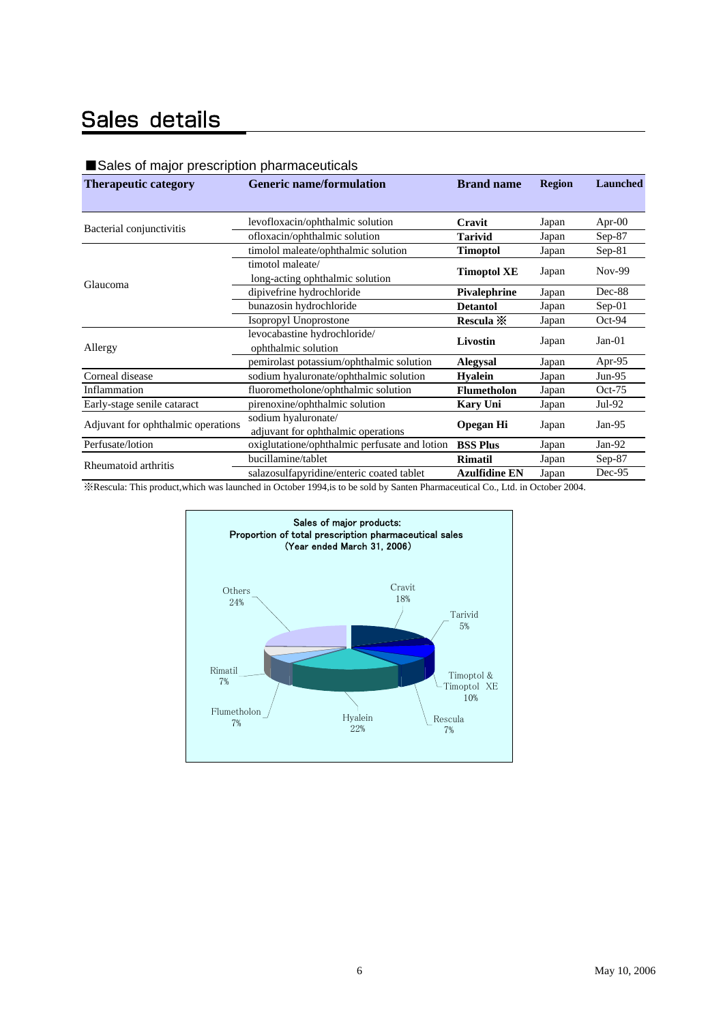# Sales details

# ■Sales of major prescription pharmaceuticals

| <b>Therapeutic category</b>        | <b>Generic name/formulation</b>               | <b>Brand name</b>    | <b>Region</b> | <b>Launched</b> |
|------------------------------------|-----------------------------------------------|----------------------|---------------|-----------------|
|                                    |                                               |                      |               |                 |
| Bacterial conjunctivitis           | levofloxacin/ophthalmic solution              | Cravit               | Japan         | Apr-00          |
|                                    | ofloxacin/ophthalmic solution                 | <b>Tarivid</b>       | Japan         | $Sep-87$        |
|                                    | timolol maleate/ophthalmic solution           | <b>Timoptol</b>      | Japan         | $Sep-81$        |
| Glaucoma                           | timotol maleate/                              |                      |               | Nov-99          |
|                                    | long-acting ophthalmic solution               | <b>Timoptol XE</b>   | Japan         |                 |
|                                    | dipivefrine hydrochloride                     | Pivalephrine         | Japan         | Dec-88          |
|                                    | bunazosin hydrochloride                       | <b>Detantol</b>      | Japan         | $Sep-01$        |
|                                    | <b>Isopropyl Unoprostone</b>                  | Rescula $\mathbb{X}$ | Japan         | Oct-94          |
|                                    | levocabastine hydrochloride/                  | Livostin             |               | $Jan-01$        |
| Allergy                            | ophthalmic solution                           |                      | Japan         |                 |
|                                    | pemirolast potassium/ophthalmic solution      | <b>Alegysal</b>      | Japan         | Apr-95          |
| Corneal disease                    | sodium hyaluronate/ophthalmic solution        | <b>Hyalein</b>       | Japan         | $Jun-95$        |
| Inflammation                       | fluorometholone/ophthalmic solution           | <b>Flumetholon</b>   | Japan         | $Oct-75$        |
| Early-stage senile cataract        | pirenoxine/ophthalmic solution                | <b>Kary Uni</b>      | Japan         | $Jul-92$        |
| Adjuvant for ophthalmic operations | sodium hyaluronate/                           | <b>Opegan Hi</b>     |               | Jan- $95$       |
|                                    | adjuvant for ophthalmic operations            |                      | Japan         |                 |
| Perfusate/lotion                   | oxiglutatione/ophthalmic perfusate and lotion | <b>BSS Plus</b>      | Japan         | $Jan-92$        |
| Rheumatoid arthritis               | bucillamine/tablet                            | <b>Rimatil</b>       | Japan         | Sep-87          |
|                                    | salazosulfapyridine/enteric coated tablet     | <b>Azulfidine EN</b> | Japan         | Dec-95          |

※Rescula: This product,which was launched in October 1994,is to be sold by Santen Pharmaceutical Co., Ltd. in October 2004.

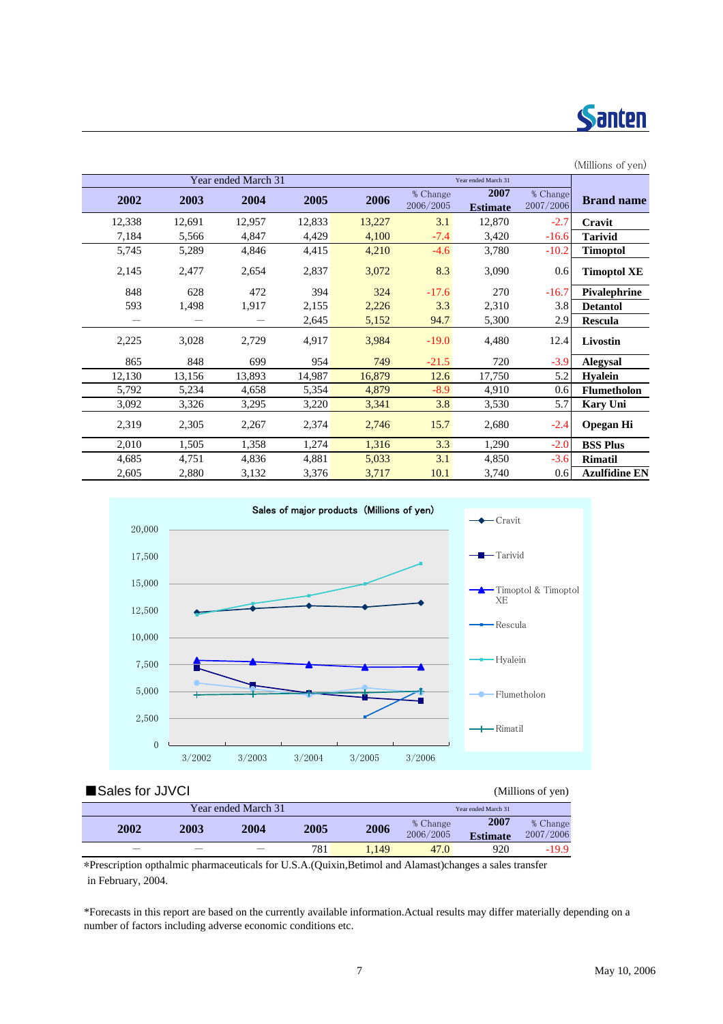

| TMITTIONS OF ACTIV   |                       |                         |                       |        |        |                     |        |        |
|----------------------|-----------------------|-------------------------|-----------------------|--------|--------|---------------------|--------|--------|
|                      |                       | Year ended March 31     |                       |        |        | Year ended March 31 |        |        |
| <b>Brand name</b>    | % Change<br>2007/2006 | 2007<br><b>Estimate</b> | % Change<br>2006/2005 | 2006   | 2005   | 2004                | 2003   | 2002   |
| Cravit               | $-2.7$                | 12,870                  | 3.1                   | 13,227 | 12,833 | 12,957              | 12,691 | 12,338 |
| <b>Tarivid</b>       | $-16.6$               | 3,420                   | $-7.4$                | 4,100  | 4,429  | 4,847               | 5,566  | 7,184  |
| <b>Timoptol</b>      | $-10.2$               | 3,780                   | $-4.6$                | 4,210  | 4,415  | 4,846               | 5,289  | 5,745  |
| <b>Timoptol XE</b>   | 0.6                   | 3,090                   | 8.3                   | 3,072  | 2,837  | 2,654               | 2,477  | 2,145  |
| Pivalephrine         | $-16.7$               | 270                     | $-17.6$               | 324    | 394    | 472                 | 628    | 848    |
| <b>Detantol</b>      | 3.8                   | 2,310                   | 3.3                   | 2,226  | 2,155  | 1,917               | 1,498  | 593    |
| <b>Rescula</b>       | 2.9                   | 5,300                   | 94.7                  | 5,152  | 2,645  |                     |        |        |
| Livostin             | 12.4                  | 4,480                   | $-19.0$               | 3,984  | 4,917  | 2,729               | 3,028  | 2,225  |
| Alegysal             | $-3.9$                | 720                     | $-21.5$               | 749    | 954    | 699                 | 848    | 865    |
| <b>Hyalein</b>       | 5.2                   | 17,750                  | 12.6                  | 16,879 | 14,987 | 13,893              | 13,156 | 12,130 |
| Flumetholon          | 0.6                   | 4,910                   | $-8.9$                | 4,879  | 5,354  | 4,658               | 5,234  | 5,792  |
| <b>Kary Uni</b>      | 5.7                   | 3,530                   | 3.8                   | 3,341  | 3,220  | 3,295               | 3,326  | 3,092  |
| <b>Opegan Hi</b>     | $-2.4$                | 2,680                   | 15.7                  | 2,746  | 2,374  | 2,267               | 2,305  | 2,319  |
| <b>BSS Plus</b>      | $-2.0$                | 1,290                   | 3.3                   | 1,316  | 1,274  | 1,358               | 1,505  | 2,010  |
| <b>Rimatil</b>       | $-3.6$                | 4,850                   | 3.1                   | 5,033  | 4,881  | 4,836               | 4,751  | 4,685  |
| <b>Azulfidine EN</b> | 0.6                   | 3,740                   | 10.1                  | 3,717  | 3,376  | 3,132               | 2,880  | 2,605  |



■ Sales for JJVCI (Millions of yen) Year ended March 31 **2002 2003 2004 2005 2006** % Change 2006/2005 **2007 Estimate** % Change 2007/2006  $-$  781 1,149 47.0 920 -19.9 Year ended March 31

\*Prescription opthalmic pharmaceuticals for U.S.A.(Quixin,Betimol and Alamast)changes a sales transfer in February, 2004.

\*Forecasts in this report are based on the currently available information.Actual results may differ materially depending on a number of factors including adverse economic conditions etc.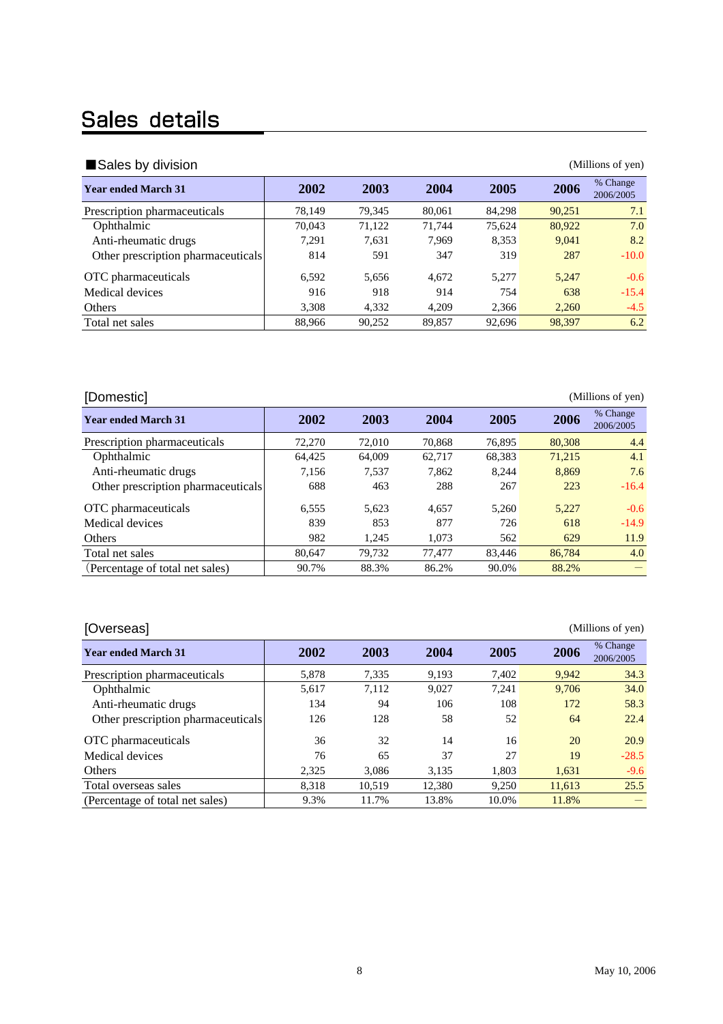# Sales details

| Sales by division<br>(Millions of yen) |        |        |        |        |        |                       |  |  |  |  |  |
|----------------------------------------|--------|--------|--------|--------|--------|-----------------------|--|--|--|--|--|
| <b>Year ended March 31</b>             | 2002   | 2003   | 2004   | 2005   | 2006   | % Change<br>2006/2005 |  |  |  |  |  |
| Prescription pharmaceuticals           | 78.149 | 79.345 | 80.061 | 84.298 | 90.251 | 7.1                   |  |  |  |  |  |
| Ophthalmic                             | 70.043 | 71,122 | 71.744 | 75.624 | 80,922 | 7.0                   |  |  |  |  |  |
| Anti-rheumatic drugs                   | 7.291  | 7.631  | 7.969  | 8.353  | 9.041  | 8.2                   |  |  |  |  |  |
| Other prescription pharmaceuticals     | 814    | 591    | 347    | 319    | 287    | $-10.0$               |  |  |  |  |  |
| OTC pharmaceuticals                    | 6.592  | 5,656  | 4,672  | 5.277  | 5.247  | $-0.6$                |  |  |  |  |  |
| Medical devices                        | 916    | 918    | 914    | 754    | 638    | $-15.4$               |  |  |  |  |  |
| Others                                 | 3.308  | 4.332  | 4.209  | 2.366  | 2.260  | $-4.5$                |  |  |  |  |  |
| Total net sales                        | 88,966 | 90,252 | 89,857 | 92.696 | 98,397 | 6.2                   |  |  |  |  |  |

# [Domestic] (Millions of yen)

| <b>Year ended March 31</b>         | 2002   | 2003   | 2004   | 2005   | 2006   | % Change<br>2006/2005 |
|------------------------------------|--------|--------|--------|--------|--------|-----------------------|
| Prescription pharmaceuticals       | 72,270 | 72,010 | 70,868 | 76,895 | 80,308 | 4.4                   |
| Ophthalmic                         | 64.425 | 64,009 | 62.717 | 68,383 | 71,215 | 4.1                   |
| Anti-rheumatic drugs               | 7,156  | 7,537  | 7,862  | 8.244  | 8,869  | 7.6                   |
| Other prescription pharmaceuticals | 688    | 463    | 288    | 267    | 223    | $-16.4$               |
| OTC pharmaceuticals                | 6,555  | 5,623  | 4.657  | 5,260  | 5,227  | $-0.6$                |
| Medical devices                    | 839    | 853    | 877    | 726    | 618    | $-14.9$               |
| Others                             | 982    | 1.245  | 1.073  | 562    | 629    | 11.9                  |
| Total net sales                    | 80,647 | 79,732 | 77.477 | 83,446 | 86,784 | 4.0                   |
| (Percentage of total net sales)    | 90.7%  | 88.3%  | 86.2%  | 90.0%  | 88.2%  |                       |

# [Overseas] (Millions of yen)

| , <del>,</del> , , , , , , , , ,   |       |        |        |       |        |                       |
|------------------------------------|-------|--------|--------|-------|--------|-----------------------|
| <b>Year ended March 31</b>         | 2002  | 2003   | 2004   | 2005  | 2006   | % Change<br>2006/2005 |
| Prescription pharmaceuticals       | 5,878 | 7,335  | 9,193  | 7,402 | 9,942  | 34.3                  |
| Ophthalmic                         | 5,617 | 7,112  | 9,027  | 7,241 | 9,706  | 34.0                  |
| Anti-rheumatic drugs               | 134   | 94     | 106    | 108   | 172    | 58.3                  |
| Other prescription pharmaceuticals | 126   | 128    | 58     | 52    | 64     | 22.4                  |
| OTC pharmaceuticals                | 36    | 32     | 14     | 16    | 20     | 20.9                  |
| Medical devices                    | 76    | 65     | 37     | 27    | 19     | $-28.5$               |
| Others                             | 2,325 | 3,086  | 3.135  | 1,803 | 1,631  | $-9.6$                |
| Total overseas sales               | 8,318 | 10.519 | 12,380 | 9,250 | 11,613 | 25.5                  |
| (Percentage of total net sales)    | 9.3%  | 11.7%  | 13.8%  | 10.0% | 11.8%  |                       |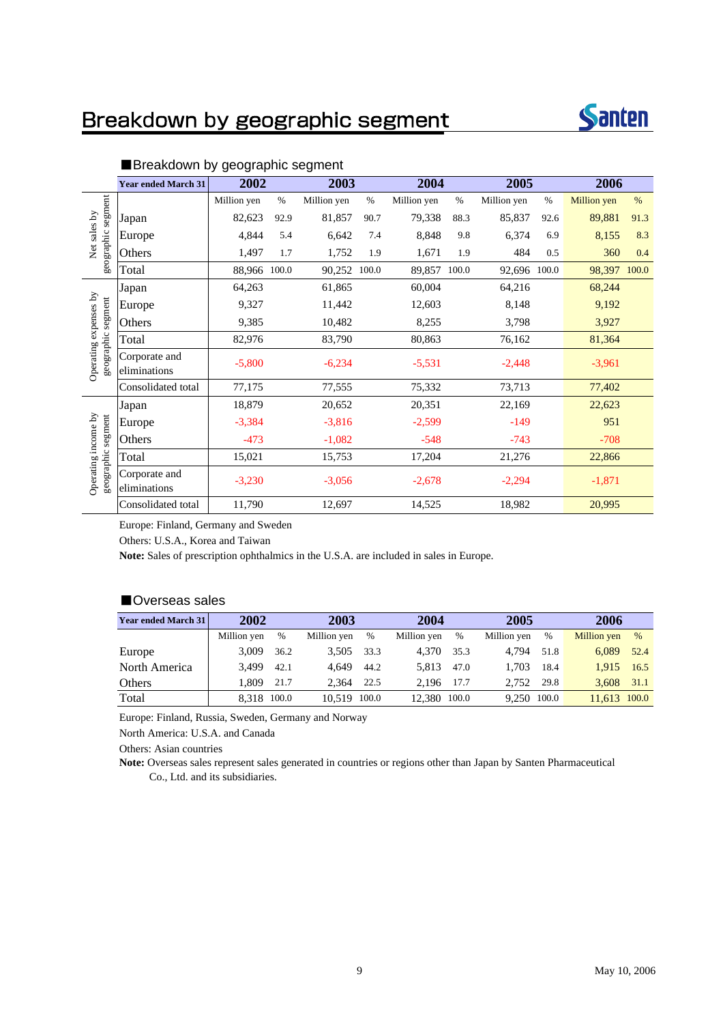# Breakdown by geographic segment



|                                             | <b>Year ended March 31</b>    | 2002         |      | 2003         |      | 2004         |      | 2005         |      | 2006         |      |
|---------------------------------------------|-------------------------------|--------------|------|--------------|------|--------------|------|--------------|------|--------------|------|
|                                             |                               | Million yen  | $\%$ | Million yen  | $\%$ | Million yen  | $\%$ | Million yen  | $\%$ | Million yen  | %    |
|                                             | Japan                         | 82,623       | 92.9 | 81,857       | 90.7 | 79,338       | 88.3 | 85,837       | 92.6 | 89,881       | 91.3 |
| Net sales by                                | Europe                        | 4,844        | 5.4  | 6,642        | 7.4  | 8,848        | 9.8  | 6,374        | 6.9  | 8,155        | 8.3  |
| geographic segment                          | Others                        | 1,497        | 1.7  | 1,752        | 1.9  | 1,671        | 1.9  | 484          | 0.5  | 360          | 0.4  |
|                                             | Total                         | 88,966 100.0 |      | 90,252 100.0 |      | 89,857 100.0 |      | 92,696 100.0 |      | 98,397 100.0 |      |
|                                             | Japan                         | 64,263       |      | 61,865       |      | 60,004       |      | 64,216       |      | 68,244       |      |
|                                             | Europe                        | 9,327        |      | 11,442       |      | 12,603       |      | 8,148        |      | 9,192        |      |
|                                             | Others                        | 9,385        |      | 10,482       |      | 8,255        |      | 3,798        |      | 3,927        |      |
|                                             | Total                         | 82,976       |      | 83,790       |      | 80,863       |      | 76,162       |      | 81,364       |      |
| Operating expenses by<br>geographic segment | Corporate and<br>eliminations | $-5,800$     |      | $-6,234$     |      | $-5,531$     |      | $-2,448$     |      | $-3,961$     |      |
|                                             | Consolidated total            | 77,175       |      | 77,555       |      | 75,332       |      | 73,713       |      | 77,402       |      |
|                                             | Japan                         | 18,879       |      | 20,652       |      | 20,351       |      | 22,169       |      | 22,623       |      |
|                                             | Europe                        | $-3,384$     |      | $-3,816$     |      | $-2,599$     |      | $-149$       |      | 951          |      |
|                                             | Others                        | $-473$       |      | $-1,082$     |      | $-548$       |      | $-743$       |      | $-708$       |      |
|                                             | Total                         | 15,021       |      | 15,753       |      | 17,204       |      | 21,276       |      | 22,866       |      |
| Operating income by<br>geographic segment   | Corporate and<br>eliminations | $-3,230$     |      | $-3,056$     |      | $-2,678$     |      | $-2,294$     |      | $-1,871$     |      |
|                                             | Consolidated total            | 11,790       |      | 12,697       |      | 14,525       |      | 18,982       |      | 20,995       |      |

# ■Breakdown by geographic segment

Europe: Finland, Germany and Sweden

Others: U.S.A., Korea and Taiwan

**Note:** Sales of prescription ophthalmics in the U.S.A. are included in sales in Europe.

## ■Overseas sales

| <b>Year ended March 31</b> | 2002        |      |              | 2003 |             | 2004  |             | 2005 |              | 2006 |  |
|----------------------------|-------------|------|--------------|------|-------------|-------|-------------|------|--------------|------|--|
|                            | Million yen | $\%$ | Million yen  | %    | Million yen | %     | Million yen | %    | Million yen  | $\%$ |  |
| Europe                     | 3.009       | 36.2 | 3.505        | 33.3 | 4.370       | 35.3  | 4.794       | 51.8 | 6.089        | 52.4 |  |
| North America              | 3.499       | 42.1 | 4.649        | 44.2 | 5.813       | 47.0  | 1.703       | 18.4 | 1.915        | 16.5 |  |
| Others                     | 1.809       | 21.7 | 2.364        | 22.5 | 2.196       | 17.7  | 2.752       | 29.8 | 3.608        | 31.1 |  |
| Total                      | 8.318 100.0 |      | 10.519 100.0 |      | 12.380      | 100.0 | 9.250 100.0 |      | 11.613 100.0 |      |  |

Europe: Finland, Russia, Sweden, Germany and Norway

North America: U.S.A. and Canada

Others: Asian countries

**Note:** Overseas sales represent sales generated in countries or regions other than Japan by Santen Pharmaceutical Co., Ltd. and its subsidiaries.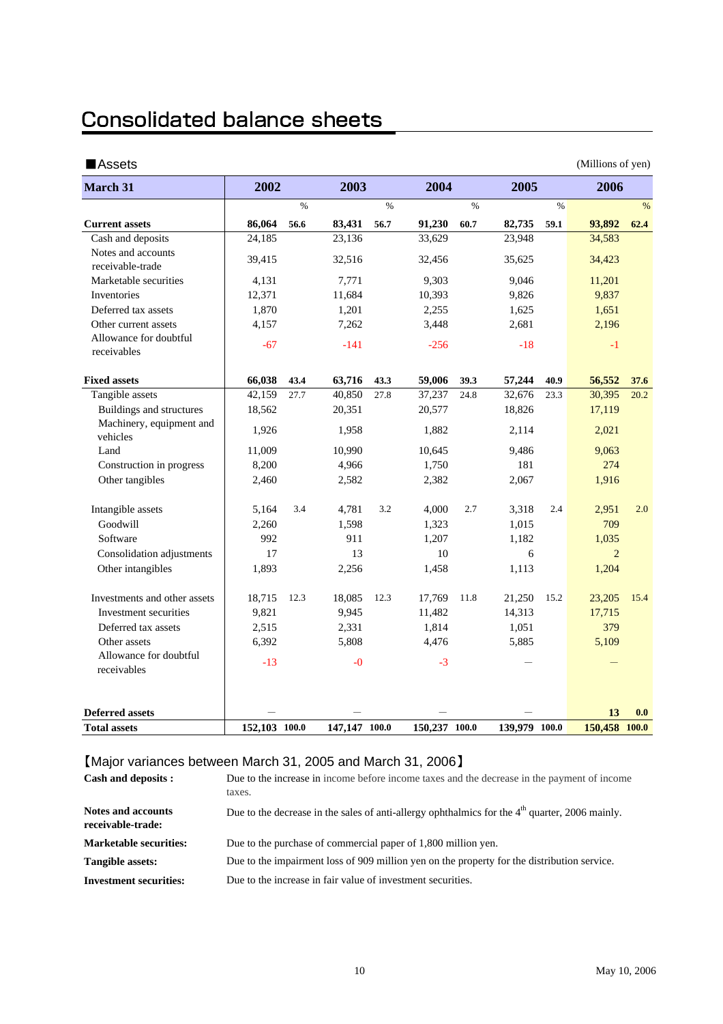# **Consolidated balance sheets**

| <b>Assets</b>                          |               |      |               |      |               |      |               |      | (Millions of yen) |      |
|----------------------------------------|---------------|------|---------------|------|---------------|------|---------------|------|-------------------|------|
| <b>March 31</b>                        | 2002          |      | 2003          |      | 2004          |      | 2005          |      | 2006              |      |
|                                        |               | $\%$ |               | $\%$ |               | $\%$ |               | $\%$ |                   | $\%$ |
| <b>Current assets</b>                  | 86,064        | 56.6 | 83,431        | 56.7 | 91,230        | 60.7 | 82,735        | 59.1 | 93,892            | 62.4 |
| Cash and deposits                      | 24,185        |      | 23,136        |      | 33.629        |      | 23,948        |      | 34,583            |      |
| Notes and accounts<br>receivable-trade | 39,415        |      | 32,516        |      | 32,456        |      | 35,625        |      | 34,423            |      |
| Marketable securities                  | 4,131         |      | 7,771         |      | 9,303         |      | 9,046         |      | 11,201            |      |
| Inventories                            | 12,371        |      | 11,684        |      | 10,393        |      | 9,826         |      | 9,837             |      |
| Deferred tax assets                    | 1,870         |      | 1,201         |      | 2,255         |      | 1,625         |      | 1,651             |      |
| Other current assets                   | 4,157         |      | 7,262         |      | 3,448         |      | 2,681         |      | 2,196             |      |
| Allowance for doubtful<br>receivables  | $-67$         |      | $-141$        |      | $-256$        |      | $-18$         |      | $-1$              |      |
| <b>Fixed assets</b>                    | 66,038        | 43.4 | 63,716        | 43.3 | 59,006        | 39.3 | 57,244        | 40.9 | 56,552            | 37.6 |
| Tangible assets                        | 42,159        | 27.7 | 40,850        | 27.8 | 37,237        | 24.8 | 32,676        | 23.3 | 30,395            | 20.2 |
| Buildings and structures               | 18,562        |      | 20,351        |      | 20,577        |      | 18,826        |      | 17,119            |      |
| Machinery, equipment and<br>vehicles   | 1,926         |      | 1,958         |      | 1,882         |      | 2,114         |      | 2,021             |      |
| Land                                   | 11,009        |      | 10,990        |      | 10,645        |      | 9,486         |      | 9,063             |      |
| Construction in progress               | 8,200         |      | 4,966         |      | 1,750         |      | 181           |      | 274               |      |
| Other tangibles                        | 2,460         |      | 2,582         |      | 2,382         |      | 2,067         |      | 1,916             |      |
| Intangible assets                      | 5,164         | 3.4  | 4,781         | 3.2  | 4,000         | 2.7  | 3,318         | 2.4  | 2,951             | 2.0  |
| Goodwill                               | 2,260         |      | 1,598         |      | 1,323         |      | 1,015         |      | 709               |      |
| Software                               | 992           |      | 911           |      | 1,207         |      | 1,182         |      | 1,035             |      |
| Consolidation adjustments              | 17            |      | 13            |      | 10            |      | 6             |      | 2                 |      |
| Other intangibles                      | 1,893         |      | 2,256         |      | 1,458         |      | 1,113         |      | 1,204             |      |
| Investments and other assets           | 18,715        | 12.3 | 18,085        | 12.3 | 17,769        | 11.8 | 21,250        | 15.2 | 23,205            | 15.4 |
| Investment securities                  | 9,821         |      | 9,945         |      | 11,482        |      | 14,313        |      | 17,715            |      |
| Deferred tax assets                    | 2,515         |      | 2,331         |      | 1,814         |      | 1,051         |      | 379               |      |
| Other assets                           | 6,392         |      | 5,808         |      | 4,476         |      | 5,885         |      | 5,109             |      |
| Allowance for doubtful<br>receivables  | $-13$         |      | $-0$          |      | $-3$          |      |               |      |                   |      |
| <b>Deferred assets</b>                 |               |      |               |      |               |      |               |      | 13                | 0.0  |
| <b>Total assets</b>                    | 152,103 100.0 |      | 147,147 100.0 |      | 150.237 100.0 |      | 139,979 100.0 |      | 150,458 100.0     |      |

# 【Major variances between March 31, 2005 and March 31, 2006】

| <b>Cash and deposits:</b>                      | Due to the increase in income before income taxes and the decrease in the payment of income<br>taxes.      |
|------------------------------------------------|------------------------------------------------------------------------------------------------------------|
| <b>Notes and accounts</b><br>receivable-trade: | Due to the decrease in the sales of anti-allergy ophthalmics for the 4 <sup>th</sup> quarter, 2006 mainly. |
| <b>Marketable securities:</b>                  | Due to the purchase of commercial paper of 1,800 million yen.                                              |
| Tangible assets:                               | Due to the impairment loss of 909 million yen on the property for the distribution service.                |
| <b>Investment securities:</b>                  | Due to the increase in fair value of investment securities.                                                |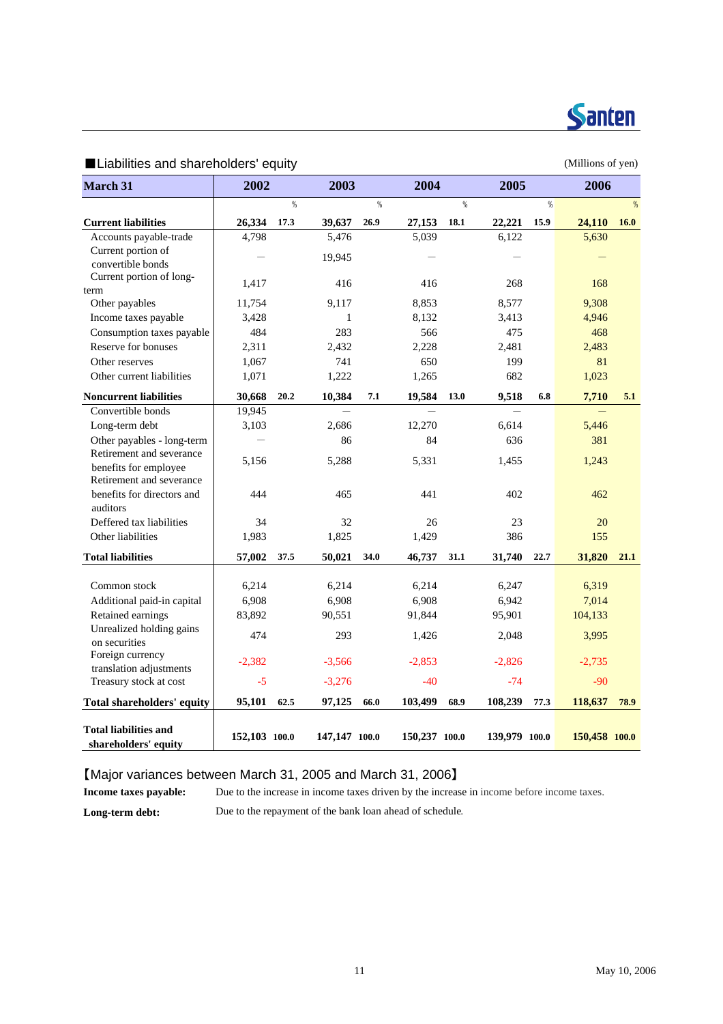

### ■Liabilities and shareholders' equity and the state of yen) and the state of yen (Millions of yen) **March 31** % and  $\%$  with  $\%$  and  $\%$  and  $\%$  and  $\%$  and  $\%$  and  $\%$  and  $\%$ **Current liabilities 26,334 17.3 39,637 26.9 27,153 18.1 22,221 15.9 24,110 16.0** Accounts payable-trade 4,798 5,476 5,039 6,122 5,630 Current portion of  $\frac{19,945}{\text{convertible bonds}}$  - 19,945 - - - - -Current portion of longterm  $1,417$   $416$   $416$   $416$   $416$   $416$   $416$   $416$   $416$   $416$   $416$   $416$   $416$   $416$   $416$   $416$   $416$   $416$   $416$   $416$   $416$   $416$   $416$   $416$   $416$   $416$   $416$   $416$   $416$   $416$   $416$   $416$   $416$   $416$   $416$   $416$ Other payables 11,754 9,117 8,853 8,577 9,308 Income taxes payable 3,428 1 8,132 3,413 4,946 Consumption taxes payable 484 283 566 475 468 Reserve for bonuses 2,311 2,432 2,228 2,481 2,483 Other reserves 1,067 741 650 199 81 Other current liabilities 1,071 1,222 1,265 682 1,023 **Noncurrent liabilities 30,668 20.2 10,384 7.1 19,584 13.0 9,518 6.8 7,710 5.1** Convertible bonds 19,945 Long-term debt 13,103 2,686 12,270 6,614 5,446 Other payables - long-term  $\vert$  - 86 84 636 381 Retirement and severance benefits for employee 5,156 5,288 5,331 1,455 1,243 Retirement and severance benefits for directors and auditors 444 465 441 402 462 Deffered tax liabilities 134 32 26 23 20 Other liabilities 1,983 1,825 1,429 386 155 **Total liabilities 57,002 37.5 50,021 34.0 46,737 31.1 31,740 22.7 31,820 21.1** Common stock 6,214 6,214 6,214 6,214 6,247 6,319 Additional paid-in capital  $\begin{array}{cccc} 6,908 & 6,908 & 6,908 & 6,942 & 7,014 \end{array}$ Retained earnings 183,892 90,551 91,844 95,901 104,133 Unrealized holding gains on securities and the term of the term of the term of the term of the term of the term of term of the term of term of the term of term of the term of the term of term of the term of term of term of term of term of the term Foreign currency translation adjustments -2,382 -3,566 -2,853 -2,826 -2,735 Treasury stock at cost  $-5$   $-3,276$   $-40$   $-74$   $-90$ **Total shareholders' equity 95,101 62.5 97,125 66.0 103,499 68.9 108,239 77.3 118,637 78.9 Total liabilities and shareholders' equity 152,103 100.0 147,147 100.0 150,237 100.0 139,979 100.0 150,458 100.0 2002 2003 2004 2005 2006**

# 【Major variances between March 31, 2005 and March 31, 2006】

**Income taxes payable:**

Due to the increase in income taxes driven by the increase in income before income taxes.

**Long-term debt:**

Due to the repayment of the bank loan ahead of schedule.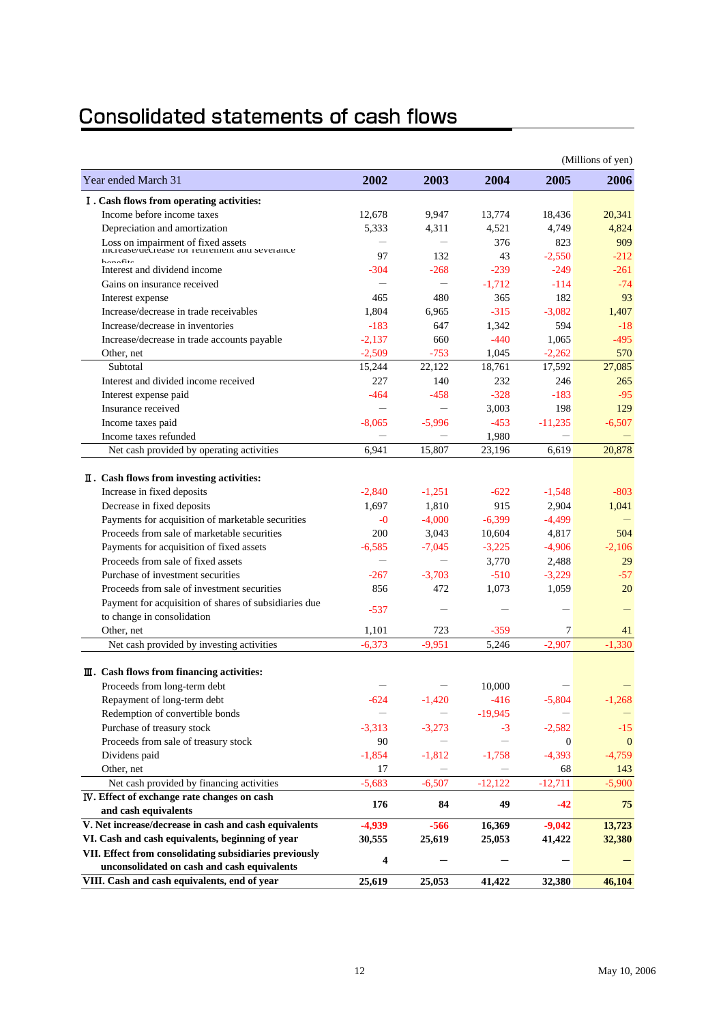# Consolidated statements of cash flows

|                                                                                    |                          |                          |                          |                          | (Millions of yen) |
|------------------------------------------------------------------------------------|--------------------------|--------------------------|--------------------------|--------------------------|-------------------|
| Year ended March 31                                                                | 2002                     | 2003                     | 2004                     | 2005                     | 2006              |
| I. Cash flows from operating activities:                                           |                          |                          |                          |                          |                   |
| Income before income taxes                                                         | 12,678                   | 9,947                    | 13,774                   | 18,436                   | 20,341            |
| Depreciation and amortization                                                      | 5,333                    | 4,311                    | 4,521                    | 4,749                    | 4,824             |
| Loss on impairment of fixed assets<br>increase/decrease for remement and severance |                          |                          | 376                      | 823                      | 909               |
| $h_{\alpha\alpha\alpha}f_{\alpha\alpha}$                                           | 97                       | 132                      | 43                       | $-2,550$                 | $-212$            |
| Interest and dividend income                                                       | $-304$                   | $-268$                   | $-239$                   | $-249$                   | $-261$            |
| Gains on insurance received                                                        |                          | $\overline{\phantom{0}}$ | $-1.712$                 | $-114$                   | $-74$             |
| Interest expense                                                                   | 465                      | 480                      | 365                      | 182                      | 93                |
| Increase/decrease in trade receivables                                             | 1,804                    | 6,965                    | $-315$                   | $-3,082$                 | 1,407             |
| Increase/decrease in inventories                                                   | $-183$                   | 647                      | 1,342                    | 594                      | $-18$             |
| Increase/decrease in trade accounts payable                                        | $-2,137$                 | 660                      | $-440$                   | 1,065                    | $-495$            |
| Other, net                                                                         | $-2,509$                 | $-753$                   | 1,045                    | $-2,262$                 | 570               |
| Subtotal                                                                           | 15,244                   | 22,122                   | 18,761                   | 17,592                   | 27,085            |
| Interest and divided income received                                               | 227                      | 140                      | 232                      | 246                      | 265               |
| Interest expense paid                                                              | $-464$                   | $-458$                   | $-328$                   | $-183$                   | $-95$             |
| Insurance received                                                                 | $\overline{\phantom{0}}$ | $\overline{\phantom{0}}$ | 3,003                    | 198                      | 129               |
| Income taxes paid                                                                  | $-8,065$                 | $-5,996$                 | $-453$                   | $-11,235$                | $-6,507$          |
| Income taxes refunded                                                              |                          | $\overline{\phantom{0}}$ | 1,980                    | $\overline{\phantom{0}}$ |                   |
| Net cash provided by operating activities                                          | 6,941                    | 15,807                   | 23,196                   | 6.619                    | 20.878            |
|                                                                                    |                          |                          |                          |                          |                   |
| II. Cash flows from investing activities:                                          |                          |                          |                          |                          |                   |
| Increase in fixed deposits                                                         | $-2,840$                 | $-1,251$                 | $-622$                   | $-1,548$                 | $-803$            |
| Decrease in fixed deposits                                                         | 1,697                    | 1,810                    | 915                      | 2,904                    | 1,041             |
| Payments for acquisition of marketable securities                                  | $-0$                     | $-4,000$                 | $-6,399$                 | $-4,499$                 |                   |
| Proceeds from sale of marketable securities                                        | 200                      | 3,043                    | 10,604                   | 4,817                    | 504               |
| Payments for acquisition of fixed assets                                           | $-6,585$                 | $-7,045$                 | $-3,225$                 | $-4,906$                 | $-2,106$          |
| Proceeds from sale of fixed assets                                                 |                          |                          | 3,770                    | 2,488                    | 29                |
| Purchase of investment securities                                                  | $-267$                   | $-3,703$                 | $-510$                   | $-3,229$                 | $-57$             |
| Proceeds from sale of investment securities                                        | 856                      | 472                      | 1,073                    | 1,059                    | 20                |
| Payment for acquisition of shares of subsidiaries due                              |                          |                          |                          |                          |                   |
| to change in consolidation                                                         | $-537$                   |                          |                          |                          |                   |
| Other, net                                                                         | 1,101                    | 723                      | $-359$                   | 7                        | 41                |
| Net cash provided by investing activities                                          | $-6,373$                 | $-9,951$                 | 5,246                    | $-2,907$                 | $-1,330$          |
|                                                                                    |                          |                          |                          |                          |                   |
| III. Cash flows from financing activities:                                         |                          |                          |                          |                          |                   |
| Proceeds from long-term debt                                                       |                          |                          | 10,000                   |                          |                   |
| Repayment of long-term debt                                                        | $-624$                   | $-1,420$                 | $-416$                   | $-5,804$                 | $-1,268$          |
| Redemption of convertible bonds                                                    |                          |                          | $-19,945$                |                          |                   |
| Purchase of treasury stock                                                         | $-3,313$                 | $-3,273$                 | $-3$                     | $-2,582$                 | $-15$             |
| Proceeds from sale of treasury stock                                               | 90                       |                          | $\overline{\phantom{0}}$ | $\boldsymbol{0}$         | $\mathbf{0}$      |
| Dividens paid                                                                      | $-1,854$                 | $-1,812$                 | $-1,758$                 | $-4,393$                 | $-4,759$          |
| Other, net                                                                         | 17                       | $\overline{\phantom{0}}$ |                          | 68                       | 143               |
| Net cash provided by financing activities                                          | $-5,683$                 | $-6,507$                 | $-12,122$                | $-12,711$                | $-5,900$          |
| IV. Effect of exchange rate changes on cash                                        | 176                      | 84                       | 49                       | $-42$                    | 75                |
| and cash equivalents                                                               |                          |                          |                          |                          |                   |
| V. Net increase/decrease in cash and cash equivalents                              | $-4,939$                 | $-566$                   | 16,369                   | $-9,042$                 | 13,723            |
| VI. Cash and cash equivalents, beginning of year                                   | 30,555                   | 25,619                   | 25,053                   | 41,422                   | 32,380            |
| VII. Effect from consolidating subsidiaries previously                             | 4                        |                          |                          |                          |                   |
| unconsolidated on cash and cash equivalents                                        |                          |                          |                          |                          |                   |
| VIII. Cash and cash equivalents, end of year                                       | 25,619                   | 25,053                   | 41,422                   | 32,380                   | 46,104            |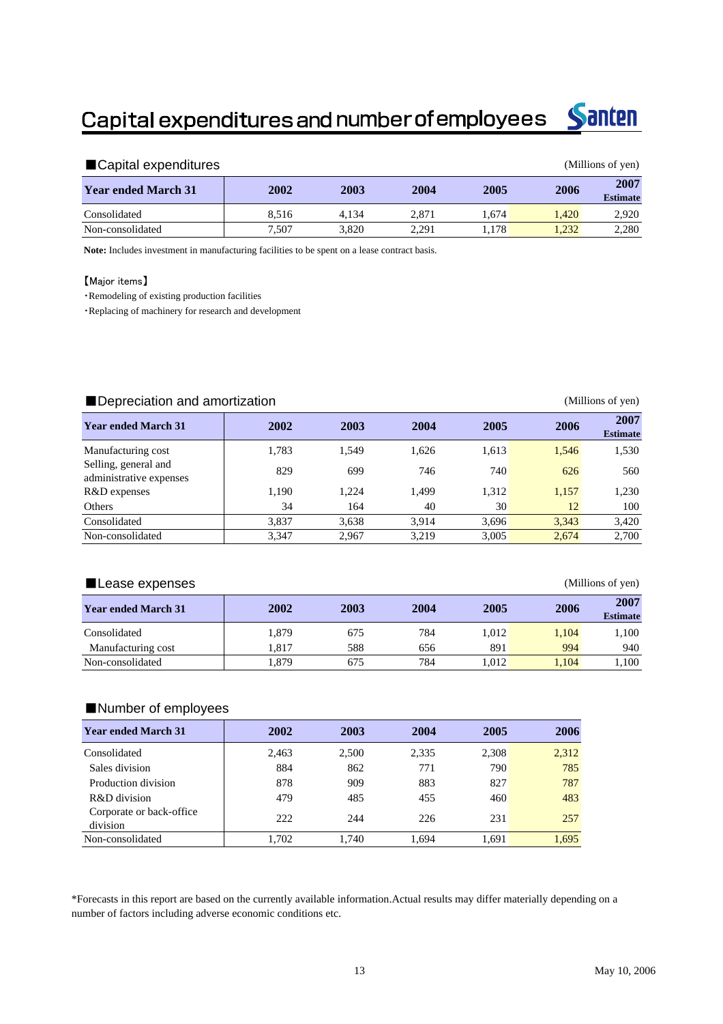# Capital expenditures and number of employees



# ■Capital expenditures (Millions of yen) **Year ended March 31** 2002 2003 2004 2005 2006 2007 **Estimate** Consolidated 1.574 8,516 4,134 2,871 1,674 1,420 2,920 Non-consolidated 1.507 3,820 2,291 1,178 1,232 2,280

**Note:** Includes investment in manufacturing facilities to be spent on a lease contract basis.

#### 【Major items】

・Remodeling of existing production facilities

・Replacing of machinery for research and development

| Depreciation and amortization<br>(Millions of yen) |       |       |       |       |       |                         |  |  |  |
|----------------------------------------------------|-------|-------|-------|-------|-------|-------------------------|--|--|--|
| <b>Year ended March 31</b>                         | 2002  | 2003  | 2004  | 2005  | 2006  | 2007<br><b>Estimate</b> |  |  |  |
| Manufacturing cost                                 | 1,783 | 1,549 | 1,626 | 1,613 | 1,546 | 1,530                   |  |  |  |
| Selling, general and<br>administrative expenses    | 829   | 699   | 746   | 740   | 626   | 560                     |  |  |  |
| R&D expenses                                       | 1,190 | 1.224 | 1,499 | 1,312 | 1,157 | 1,230                   |  |  |  |
| Others                                             | 34    | 164   | 40    | 30    | 12    | 100                     |  |  |  |
| Consolidated                                       | 3,837 | 3,638 | 3.914 | 3,696 | 3,343 | 3,420                   |  |  |  |
| Non-consolidated                                   | 3,347 | 2.967 | 3,219 | 3.005 | 2.674 | 2.700                   |  |  |  |

| (Millions of yen)<br>Lease expenses |       |      |      |       |       |                         |  |  |  |
|-------------------------------------|-------|------|------|-------|-------|-------------------------|--|--|--|
| <b>Year ended March 31</b>          | 2002  | 2003 | 2004 | 2005  | 2006  | 2007<br><b>Estimate</b> |  |  |  |
| Consolidated                        | 1.879 | 675  | 784  | 1.012 | 1.104 | 1,100                   |  |  |  |
| Manufacturing cost                  | 1.817 | 588  | 656  | 891   | 994   | 940                     |  |  |  |
| Non-consolidated                    | 1.879 | 675  | 784  | 1.012 | 1.104 | 1,100                   |  |  |  |

# ■Number of employees

| <b>Year ended March 31</b>           | 2002  | 2003  | 2004  | 2005  | 2006  |
|--------------------------------------|-------|-------|-------|-------|-------|
| Consolidated                         | 2.463 | 2,500 | 2,335 | 2,308 | 2,312 |
| Sales division                       | 884   | 862   | 771   | 790   | 785   |
| Production division                  | 878   | 909   | 883   | 827   | 787   |
| R&D division                         | 479   | 485   | 455   | 460   | 483   |
| Corporate or back-office<br>division | 222   | 244   | 226   | 231   | 257   |
| Non-consolidated                     | 1,702 | 1.740 | 1.694 | 1.691 | 1.695 |

\*Forecasts in this report are based on the currently available information.Actual results may differ materially depending on a number of factors including adverse economic conditions etc.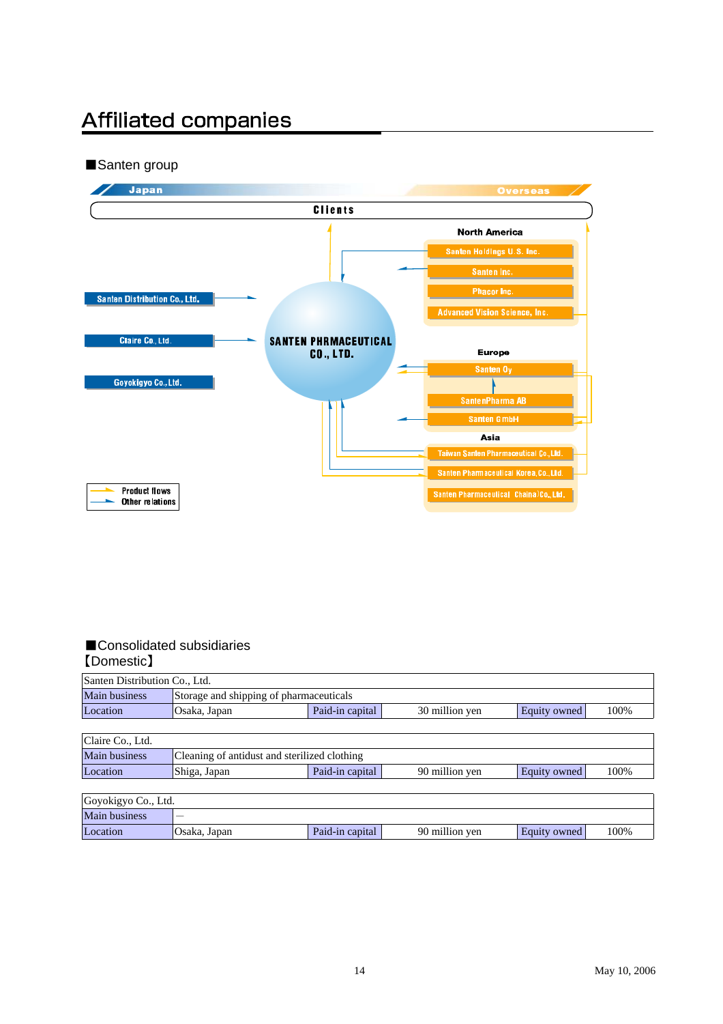# **Affiliated companies**

# ■Santen group



## ■Consolidated subsidiaries 【Domestic】

| Santen Distribution Co., Ltd. |                                              |                                         |                |              |      |  |  |  |  |  |  |  |
|-------------------------------|----------------------------------------------|-----------------------------------------|----------------|--------------|------|--|--|--|--|--|--|--|
| Main business                 |                                              | Storage and shipping of pharmaceuticals |                |              |      |  |  |  |  |  |  |  |
| Location                      | Osaka, Japan                                 | Paid-in capital                         | 30 million yen | Equity owned | 100% |  |  |  |  |  |  |  |
|                               |                                              |                                         |                |              |      |  |  |  |  |  |  |  |
| Claire Co., Ltd.              |                                              |                                         |                |              |      |  |  |  |  |  |  |  |
| <b>Main business</b>          | Cleaning of antidust and sterilized clothing |                                         |                |              |      |  |  |  |  |  |  |  |
| Location                      | Shiga, Japan                                 | Paid-in capital                         | 90 million yen | Equity owned | 100% |  |  |  |  |  |  |  |
|                               |                                              |                                         |                |              |      |  |  |  |  |  |  |  |
| Goyokigyo Co., Ltd.           |                                              |                                         |                |              |      |  |  |  |  |  |  |  |
| Main husiness                 | $\overline{\phantom{a}}$                     |                                         |                |              |      |  |  |  |  |  |  |  |

| Goyokigyo Co., Ltd.  |                          |                 |                |              |      |  |  |  |  |
|----------------------|--------------------------|-----------------|----------------|--------------|------|--|--|--|--|
| <b>Main business</b> | $\overline{\phantom{a}}$ |                 |                |              |      |  |  |  |  |
| Location             | Osaka, Japan             | Paid-in capital | 90 million ven | Equity owned | 100% |  |  |  |  |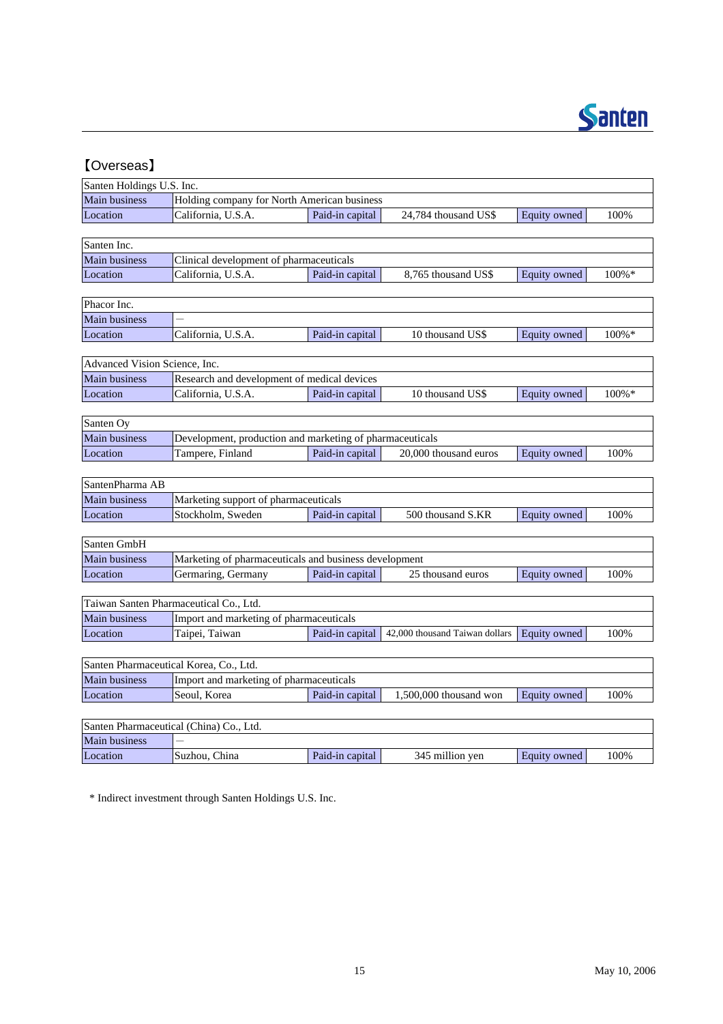

| [Overseas]                             |                                                          |                 |                                |                     |           |
|----------------------------------------|----------------------------------------------------------|-----------------|--------------------------------|---------------------|-----------|
| Santen Holdings U.S. Inc.              |                                                          |                 |                                |                     |           |
| Main business                          | Holding company for North American business              |                 |                                |                     |           |
| Location                               | California, U.S.A.                                       | Paid-in capital | 24.784 thousand US\$           | Equity owned        | 100%      |
|                                        |                                                          |                 |                                |                     |           |
| Santen Inc.                            |                                                          |                 |                                |                     |           |
| <b>Main business</b>                   | Clinical development of pharmaceuticals                  |                 |                                |                     |           |
| Location                               | California, U.S.A.                                       | Paid-in capital | 8,765 thousand US\$            | Equity owned        | $100\% *$ |
| Phacor Inc.                            |                                                          |                 |                                |                     |           |
| Main business                          |                                                          |                 |                                |                     |           |
| Location                               | California, U.S.A.                                       | Paid-in capital | 10 thousand US\$               | <b>Equity owned</b> | 100%*     |
| Advanced Vision Science, Inc.          |                                                          |                 |                                |                     |           |
| <b>Main business</b>                   | Research and development of medical devices              |                 |                                |                     |           |
| Location                               | California, U.S.A.                                       | Paid-in capital | 10 thousand US\$               | Equity owned        | 100%*     |
|                                        |                                                          |                 |                                |                     |           |
| Santen Oy                              |                                                          |                 |                                |                     |           |
| <b>Main business</b>                   | Development, production and marketing of pharmaceuticals |                 |                                |                     |           |
| Location                               | Tampere, Finland                                         | Paid-in capital | 20,000 thousand euros          | Equity owned        | 100%      |
| SantenPharma AB                        |                                                          |                 |                                |                     |           |
| Main business                          | Marketing support of pharmaceuticals                     |                 |                                |                     |           |
| Location                               | Stockholm, Sweden                                        | Paid-in capital | 500 thousand S.KR              | Equity owned        | 100%      |
|                                        |                                                          |                 |                                |                     |           |
| Santen GmbH                            |                                                          |                 |                                |                     |           |
| Main business                          | Marketing of pharmaceuticals and business development    |                 |                                |                     |           |
| Location                               | Germaring, Germany                                       | Paid-in capital | 25 thousand euros              | Equity owned        | 100%      |
|                                        |                                                          |                 |                                |                     |           |
|                                        | Taiwan Santen Pharmaceutical Co., Ltd.                   |                 |                                |                     |           |
| Main business                          | Import and marketing of pharmaceuticals                  |                 |                                |                     |           |
| Location                               | Taipei, Taiwan                                           | Paid-in capital | 42,000 thousand Taiwan dollars | Equity owned        | 100%      |
| Santen Pharmaceutical Korea, Co., Ltd. |                                                          |                 |                                |                     |           |
| Main business                          | Import and marketing of pharmaceuticals                  |                 |                                |                     |           |
| Location                               | Seoul, Korea                                             | Paid-in capital | $1,500,000$ thousand won       | Equity owned        | 100%      |
|                                        |                                                          |                 |                                |                     |           |
|                                        | Santen Pharmaceutical (China) Co., Ltd.                  |                 |                                |                     |           |
| Main business                          |                                                          |                 |                                |                     |           |
| Location                               | Suzhou, China                                            | Paid-in capital | 345 million yen                | <b>Equity owned</b> | 100%      |

\* Indirect investment through Santen Holdings U.S. Inc.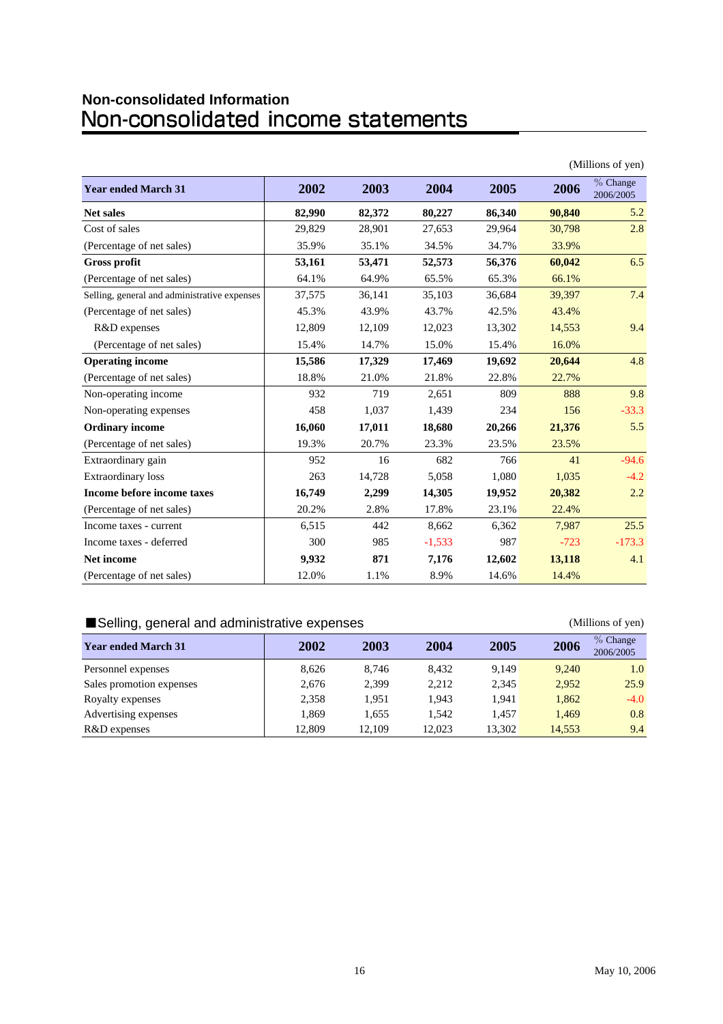# **Non-consolidated Information**

|                                              |        |        |          |        |        | (Millions of yen)       |
|----------------------------------------------|--------|--------|----------|--------|--------|-------------------------|
| <b>Year ended March 31</b>                   | 2002   | 2003   | 2004     | 2005   | 2006   | $%$ Change<br>2006/2005 |
| <b>Net sales</b>                             | 82,990 | 82,372 | 80,227   | 86,340 | 90,840 | 5.2                     |
| Cost of sales                                | 29,829 | 28,901 | 27,653   | 29.964 | 30,798 | 2.8                     |
| (Percentage of net sales)                    | 35.9%  | 35.1%  | 34.5%    | 34.7%  | 33.9%  |                         |
| <b>Gross profit</b>                          | 53,161 | 53,471 | 52,573   | 56,376 | 60,042 | 6.5                     |
| (Percentage of net sales)                    | 64.1%  | 64.9%  | 65.5%    | 65.3%  | 66.1%  |                         |
| Selling, general and administrative expenses | 37,575 | 36,141 | 35,103   | 36,684 | 39,397 | 7.4                     |
| (Percentage of net sales)                    | 45.3%  | 43.9%  | 43.7%    | 42.5%  | 43.4%  |                         |
| R&D expenses                                 | 12,809 | 12,109 | 12,023   | 13,302 | 14,553 | 9.4                     |
| (Percentage of net sales)                    | 15.4%  | 14.7%  | 15.0%    | 15.4%  | 16.0%  |                         |
| <b>Operating income</b>                      | 15,586 | 17,329 | 17,469   | 19,692 | 20,644 | 4.8                     |
| (Percentage of net sales)                    | 18.8%  | 21.0%  | 21.8%    | 22.8%  | 22.7%  |                         |
| Non-operating income                         | 932    | 719    | 2.651    | 809    | 888    | 9.8                     |
| Non-operating expenses                       | 458    | 1,037  | 1,439    | 234    | 156    | $-33.3$                 |
| <b>Ordinary income</b>                       | 16,060 | 17,011 | 18,680   | 20,266 | 21,376 | 5.5                     |
| (Percentage of net sales)                    | 19.3%  | 20.7%  | 23.3%    | 23.5%  | 23.5%  |                         |
| Extraordinary gain                           | 952    | 16     | 682      | 766    | 41     | $-94.6$                 |
| Extraordinary loss                           | 263    | 14,728 | 5,058    | 1,080  | 1,035  | $-4.2$                  |
| Income before income taxes                   | 16,749 | 2,299  | 14,305   | 19,952 | 20,382 | 2.2                     |
| (Percentage of net sales)                    | 20.2%  | 2.8%   | 17.8%    | 23.1%  | 22.4%  |                         |
| Income taxes - current                       | 6,515  | 442    | 8,662    | 6,362  | 7,987  | 25.5                    |
| Income taxes - deferred                      | 300    | 985    | $-1,533$ | 987    | $-723$ | $-173.3$                |
| Net income                                   | 9,932  | 871    | 7,176    | 12,602 | 13,118 | 4.1                     |
| (Percentage of net sales)                    | 12.0%  | 1.1%   | 8.9%     | 14.6%  | 14.4%  |                         |

# ■ Selling, general and administrative expenses (Millions of yen)

|        |        |                |        |        | $\cdots$                |
|--------|--------|----------------|--------|--------|-------------------------|
| 2002   | 2003   | 2004           | 2005   | 2006   | $%$ Change<br>2006/2005 |
| 8.626  | 8.746  | 8.432          | 9.149  | 9.240  | 1.0                     |
| 2.676  | 2,399  | 2.212          | 2.345  | 2.952  | 25.9                    |
| 2.358  | 1.951  | 1.943          | 1.941  | 1.862  | $-4.0$                  |
| 1.869  | 1,655  | 1.542          | 1.457  | 1.469  | 0.8                     |
| 12.809 | 12.109 | 12.023         | 13.302 | 14,553 | 9.4                     |
|        |        | $\blacksquare$ |        |        |                         |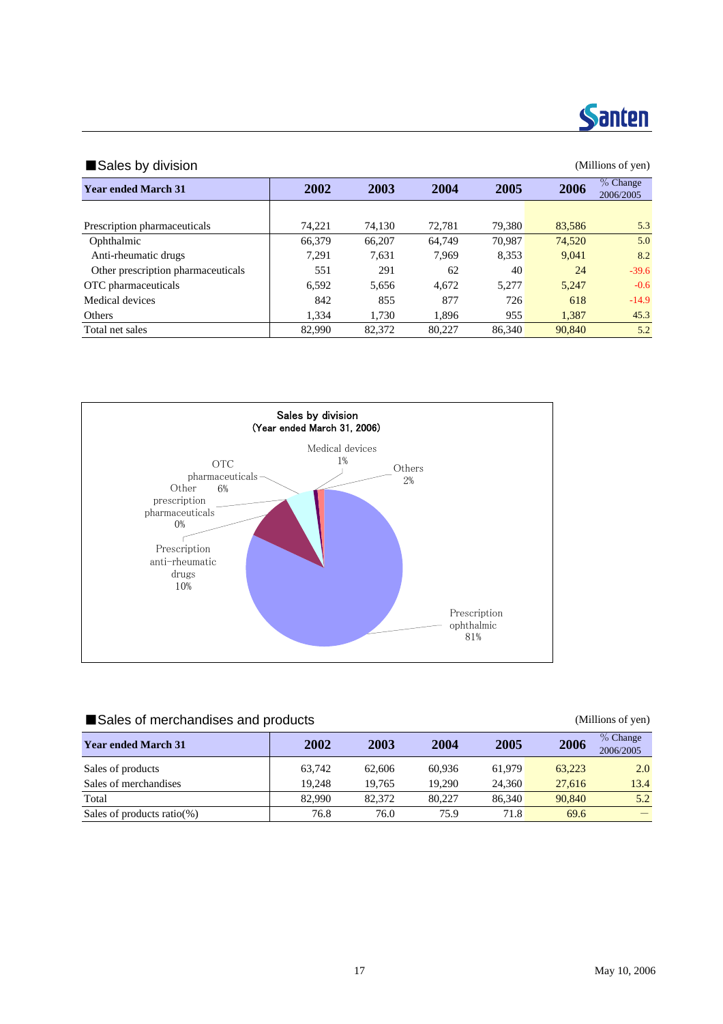

| Sales by division<br>(Millions of yen) |        |              |        |        |        |                         |  |  |  |  |
|----------------------------------------|--------|--------------|--------|--------|--------|-------------------------|--|--|--|--|
| <b>Year ended March 31</b>             | 2002   | 2003<br>2004 |        | 2005   | 2006   | $%$ Change<br>2006/2005 |  |  |  |  |
|                                        |        |              |        |        |        |                         |  |  |  |  |
| Prescription pharmaceuticals           | 74.221 | 74.130       | 72.781 | 79.380 | 83.586 | 5.3                     |  |  |  |  |
| Ophthalmic                             | 66.379 | 66.207       | 64.749 | 70.987 | 74,520 | 5.0                     |  |  |  |  |
| Anti-rheumatic drugs                   | 7,291  | 7.631        | 7.969  | 8,353  | 9.041  | 8.2                     |  |  |  |  |
| Other prescription pharmaceuticals     | 551    | 291          | 62     | 40     | 24     | $-39.6$                 |  |  |  |  |
| OTC pharmaceuticals                    | 6.592  | 5,656        | 4.672  | 5.277  | 5.247  | $-0.6$                  |  |  |  |  |
| Medical devices                        | 842    | 855          | 877    | 726    | 618    | $-14.9$                 |  |  |  |  |
| Others                                 | 1.334  | 1.730        | 1.896  | 955    | 1,387  | 45.3                    |  |  |  |  |
| Total net sales                        | 82,990 | 82,372       | 80.227 | 86,340 | 90,840 | 5.2                     |  |  |  |  |



# ■Sales of merchandises and products (Millions of yen)

| <b>Year ended March 31</b> | 2002   | 2003   | 2004   | 2005   | 2006   | $%$ Change<br>2006/2005 |
|----------------------------|--------|--------|--------|--------|--------|-------------------------|
| Sales of products          | 63.742 | 62,606 | 60.936 | 61.979 | 63.223 | 2.0                     |
| Sales of merchandises      | 19.248 | 19.765 | 19.290 | 24,360 | 27,616 | 13.4                    |
| Total                      | 82,990 | 82,372 | 80,227 | 86,340 | 90,840 | 5.2                     |
| Sales of products ratio(%) | 76.8   | 76.0   | 75.9   | 71.8   | 69.6   |                         |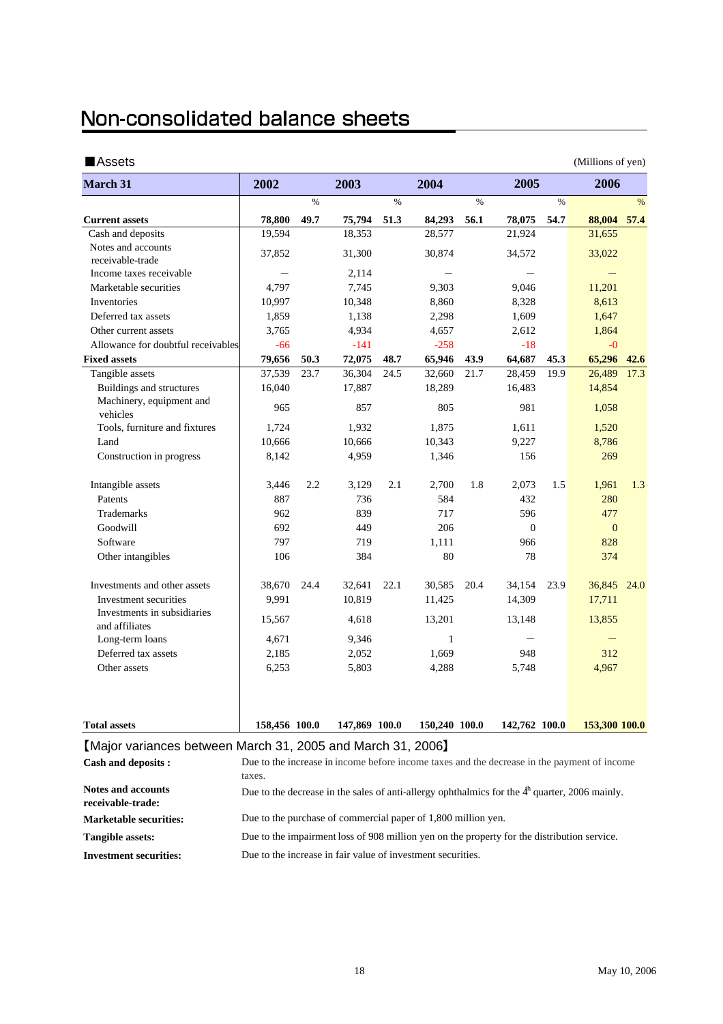# Non-consolidated balance sheets

| ■Assets                                                     |                                                                                                       |      |                |      |                   |      |                |      | (Millions of yen) |      |
|-------------------------------------------------------------|-------------------------------------------------------------------------------------------------------|------|----------------|------|-------------------|------|----------------|------|-------------------|------|
| March 31                                                    | 2002                                                                                                  |      | 2003           |      | 2004              |      | 2005           |      | 2006              |      |
|                                                             |                                                                                                       | %    |                | $\%$ |                   | $\%$ |                | $\%$ |                   | %    |
| <b>Current assets</b>                                       | 78,800                                                                                                | 49.7 | 75,794         | 51.3 | 84,293            | 56.1 | 78,075         | 54.7 | 88,004            | 57.4 |
| Cash and deposits                                           | 19,594                                                                                                |      | 18,353         |      | 28,577            |      | 21,924         |      | 31,655            |      |
| Notes and accounts                                          | 37,852                                                                                                |      | 31,300         |      | 30,874            |      | 34,572         |      | 33,022            |      |
| receivable-trade                                            |                                                                                                       |      |                |      |                   |      |                |      |                   |      |
| Income taxes receivable                                     | $\overline{\phantom{0}}$<br>4,797                                                                     |      | 2,114<br>7,745 |      | $\qquad \qquad -$ |      |                |      |                   |      |
| Marketable securities<br>Inventories                        | 10,997                                                                                                |      | 10,348         |      | 9,303<br>8,860    |      | 9,046<br>8,328 |      | 11,201<br>8,613   |      |
| Deferred tax assets                                         | 1,859                                                                                                 |      | 1.138          |      | 2,298             |      | 1,609          |      | 1,647             |      |
| Other current assets                                        | 3,765                                                                                                 |      | 4,934          |      | 4,657             |      | 2,612          |      | 1,864             |      |
| Allowance for doubtful receivables                          | $-66$                                                                                                 |      | $-141$         |      | $-258$            |      | $-18$          |      | $-0$              |      |
| <b>Fixed assets</b>                                         | 79,656                                                                                                | 50.3 | 72,075         | 48.7 | 65,946            | 43.9 | 64,687         | 45.3 | 65,296            | 42.6 |
| Tangible assets                                             | 37,539                                                                                                | 23.7 | 36,304         | 24.5 | 32,660            | 21.7 | 28,459         | 19.9 | 26,489            | 17.3 |
| Buildings and structures                                    | 16,040                                                                                                |      | 17,887         |      | 18.289            |      | 16,483         |      | 14,854            |      |
| Machinery, equipment and<br>vehicles                        | 965                                                                                                   |      | 857            |      | 805               |      | 981            |      | 1,058             |      |
| Tools, furniture and fixtures                               | 1,724                                                                                                 |      | 1,932          |      | 1,875             |      | 1,611          |      | 1,520             |      |
| Land                                                        | 10,666                                                                                                |      | 10,666         |      | 10,343            |      | 9,227          |      | 8,786             |      |
| Construction in progress                                    | 8,142                                                                                                 |      | 4,959          |      | 1,346             |      | 156            |      | 269               |      |
| Intangible assets                                           | 3,446                                                                                                 | 2.2  | 3,129          | 2.1  | 2,700             | 1.8  | 2,073          | 1.5  | 1,961             | 1.3  |
| Patents                                                     | 887                                                                                                   |      | 736            |      | 584               |      | 432            |      | 280               |      |
| <b>Trademarks</b>                                           | 962                                                                                                   |      | 839            |      | 717               |      | 596            |      | 477               |      |
| Goodwill                                                    | 692                                                                                                   |      | 449            |      | 206               |      | $\Omega$       |      | $\mathbf{0}$      |      |
| Software                                                    | 797                                                                                                   |      | 719            |      | 1,111             |      | 966            |      | 828               |      |
| Other intangibles                                           | 106                                                                                                   |      | 384            |      | 80                |      | 78             |      | 374               |      |
| Investments and other assets                                | 38,670                                                                                                | 24.4 | 32,641         | 22.1 | 30,585            | 20.4 | 34,154         | 23.9 | 36,845 24.0       |      |
| Investment securities                                       | 9,991                                                                                                 |      | 10,819         |      | 11,425            |      | 14,309         |      | 17,711            |      |
| Investments in subsidiaries<br>and affiliates               | 15,567                                                                                                |      | 4,618          |      | 13,201            |      | 13,148         |      | 13,855            |      |
| Long-term loans                                             | 4,671                                                                                                 |      | 9,346          |      | 1                 |      |                |      |                   |      |
| Deferred tax assets                                         | 2,185                                                                                                 |      | 2,052          |      | 1,669             |      | 948            |      | 312               |      |
| Other assets                                                | 6,253                                                                                                 |      | 5,803          |      | 4,288             |      | 5,748          |      | 4,967             |      |
| <b>Total assets</b>                                         | 158,456 100.0                                                                                         |      | 147,869 100.0  |      | 150,240 100.0     |      | 142,762 100.0  |      | 153,300 100.0     |      |
|                                                             |                                                                                                       |      |                |      |                   |      |                |      |                   |      |
| [Major variances between March 31, 2005 and March 31, 2006] |                                                                                                       |      |                |      |                   |      |                |      |                   |      |
| Cash and deposits :                                         | Due to the increase in income before income taxes and the decrease in the payment of income<br>taxes. |      |                |      |                   |      |                |      |                   |      |
| <b>Notes and accounts</b><br>receivable-trade:              | Due to the decrease in the sales of anti-allergy ophthalmics for the $4h$ quarter, 2006 mainly.       |      |                |      |                   |      |                |      |                   |      |
| <b>Marketable securities:</b>                               | Due to the purchase of commercial paper of 1,800 million yen.                                         |      |                |      |                   |      |                |      |                   |      |

**Tangible assets:** Due to the increase in fair value of investment securities. Due to the impairment loss of 908 million yen on the property for the distribution service.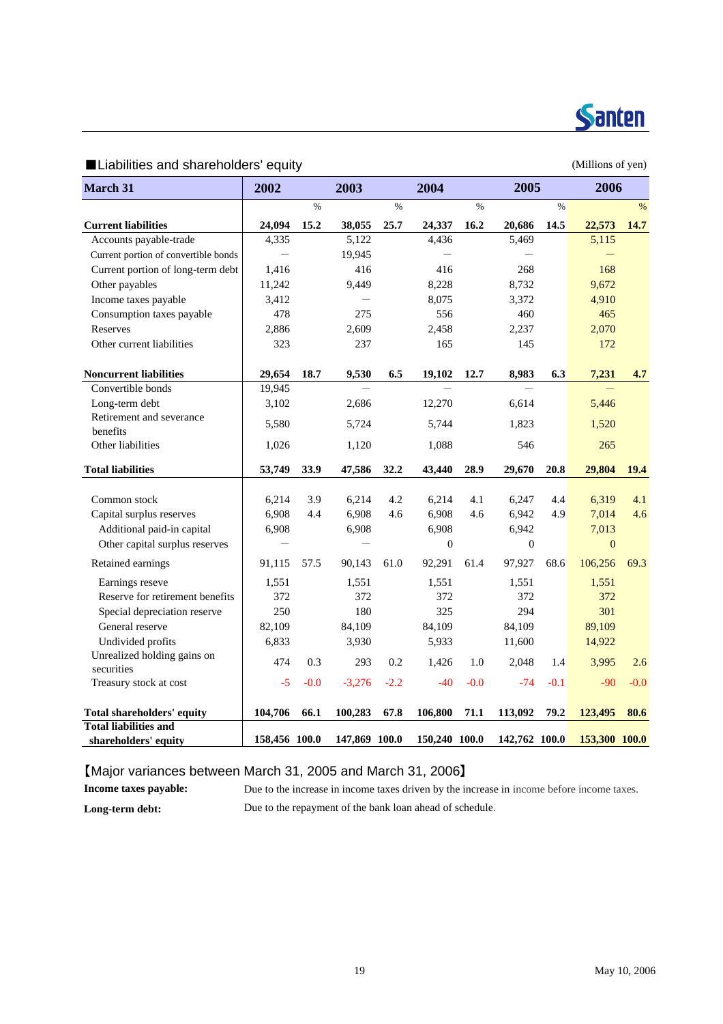

# ■Liabilities and shareholders' equity and shareholders' equity (Millions of yen)

| <b>March 31</b>                           | 2002                     |        | 2003          |        | 2004             |        | 2005           |        | 2006          |        |
|-------------------------------------------|--------------------------|--------|---------------|--------|------------------|--------|----------------|--------|---------------|--------|
|                                           |                          | $\%$   |               | $\%$   |                  | $\%$   |                | $\%$   |               | $\%$   |
| <b>Current liabilities</b>                | 24,094                   | 15.2   | 38,055        | 25.7   | 24,337           | 16.2   | 20,686         | 14.5   | 22,573        | 14.7   |
| Accounts payable-trade                    | 4,335                    |        | 5,122         |        | 4,436            |        | 5,469          |        | 5,115         |        |
| Current portion of convertible bonds      | $\equiv$                 |        | 19,945        |        |                  |        |                |        |               |        |
| Current portion of long-term debt         | 1,416                    |        | 416           |        | 416              |        | 268            |        | 168           |        |
| Other payables                            | 11,242                   |        | 9,449         |        | 8,228            |        | 8,732          |        | 9,672         |        |
| Income taxes payable                      | 3,412                    |        |               |        | 8,075            |        | 3,372          |        | 4,910         |        |
| Consumption taxes payable                 | 478                      |        | 275           |        | 556              |        | 460            |        | 465           |        |
| Reserves                                  | 2,886                    |        | 2,609         |        | 2,458            |        | 2,237          |        | 2,070         |        |
| Other current liabilities                 | 323                      |        | 237           |        | 165              |        | 145            |        | 172           |        |
| <b>Noncurrent liabilities</b>             | 29,654                   | 18.7   | 9,530         | 6.5    | 19,102           | 12.7   | 8,983          | 6.3    | 7,231         | 4.7    |
| Convertible bonds                         | 19,945                   |        |               |        |                  |        |                |        |               |        |
| Long-term debt                            | 3,102                    |        | 2,686         |        | 12,270           |        | 6,614          |        | 5,446         |        |
| Retirement and severance                  | 5,580                    |        | 5,724         |        | 5,744            |        | 1,823          |        | 1,520         |        |
| benefits                                  |                          |        |               |        |                  |        |                |        |               |        |
| Other liabilities                         | 1,026                    |        | 1,120         |        | 1,088            |        | 546            |        | 265           |        |
| <b>Total liabilities</b>                  | 53,749                   | 33.9   | 47,586        | 32.2   | 43,440           | 28.9   | 29,670         | 20.8   | 29,804        | 19.4   |
|                                           |                          |        |               |        |                  |        |                |        |               |        |
| Common stock                              | 6,214                    | 3.9    | 6,214         | 4.2    | 6,214            | 4.1    | 6,247          | 4.4    | 6,319         | 4.1    |
| Capital surplus reserves                  | 6,908                    | 4.4    | 6,908         | 4.6    | 6,908            | 4.6    | 6,942          | 4.9    | 7,014         | 4.6    |
| Additional paid-in capital                | 6,908                    |        | 6,908         |        | 6,908            |        | 6,942          |        | 7,013         |        |
| Other capital surplus reserves            | $\overline{\phantom{0}}$ |        |               |        | $\boldsymbol{0}$ |        | $\overline{0}$ |        | $\mathbf{0}$  |        |
| Retained earnings                         | 91,115                   | 57.5   | 90,143        | 61.0   | 92,291           | 61.4   | 97,927         | 68.6   | 106,256       | 69.3   |
| Earnings reseve                           | 1,551                    |        | 1,551         |        | 1,551            |        | 1,551          |        | 1,551         |        |
| Reserve for retirement benefits           | 372                      |        | 372           |        | 372              |        | 372            |        | 372           |        |
| Special depreciation reserve              | 250                      |        | 180           |        | 325              |        | 294            |        | 301           |        |
| General reserve                           | 82,109                   |        | 84,109        |        | 84,109           |        | 84,109         |        | 89,109        |        |
| Undivided profits                         | 6,833                    |        | 3,930         |        | 5,933            |        | 11,600         |        | 14,922        |        |
| Unrealized holding gains on<br>securities | 474                      | 0.3    | 293           | 0.2    | 1,426            | 1.0    | 2,048          | 1.4    | 3,995         | 2.6    |
| Treasury stock at cost                    | $-5$                     | $-0.0$ | $-3,276$      | $-2.2$ | $-40$            | $-0.0$ | $-74$          | $-0.1$ | $-90$         | $-0.0$ |
| Total shareholders' equity                | 104,706                  | 66.1   | 100,283       | 67.8   | 106,800          | 71.1   | 113,092        | 79.2   | 123,495       | 80.6   |
| <b>Total liabilities and</b>              |                          |        |               |        |                  |        |                |        |               |        |
| shareholders' equity                      | 158,456 100.0            |        | 147,869 100.0 |        | 150,240 100.0    |        | 142,762 100.0  |        | 153,300 100.0 |        |

# 【Major variances between March 31, 2005 and March 31, 2006】

**Income taxes payable:**

**Long-term debt:**

Due to the repayment of the bank loan ahead of schedule.

Due to the increase in income taxes driven by the increase in income before income taxes.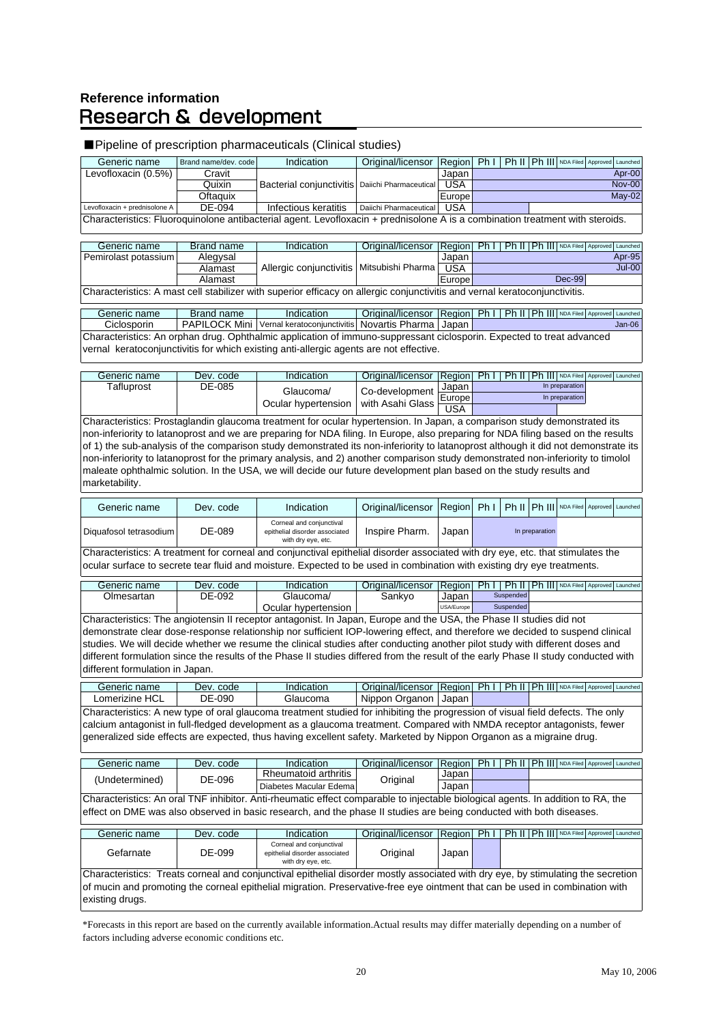# **Reference information Research & development**

#### ■ Pipeline of prescription pharmaceuticals (Clinical studies)

| Generic name                                                                                                                  | Brand name/dev. code | Indication                                      | Original/licensor   Region   Ph     Ph       Ph         NDA Filed   Approved   Launched |            |  |  |  |  |               |          |
|-------------------------------------------------------------------------------------------------------------------------------|----------------------|-------------------------------------------------|-----------------------------------------------------------------------------------------|------------|--|--|--|--|---------------|----------|
| Levofloxacin (0.5%)                                                                                                           | Cravit               |                                                 |                                                                                         | Japan      |  |  |  |  |               | Apr-00   |
|                                                                                                                               | Quixin               | Bacterial conjunctivitis Daiichi Pharmaceutical |                                                                                         | <b>USA</b> |  |  |  |  | <b>Nov-00</b> |          |
|                                                                                                                               | Oftaguix             |                                                 |                                                                                         | Europe     |  |  |  |  |               | $May-02$ |
| Levofloxacin + prednisolone A                                                                                                 | DF-094               | Infectious keratitis                            | Daiichi Pharmaceutical                                                                  | <b>USA</b> |  |  |  |  |               |          |
| Characteristics: Fluoroquinolone antibacterial agent. Levofloxacin + prednisolone A is a combination treatment with steroids. |                      |                                                 |                                                                                         |            |  |  |  |  |               |          |

| Generic name                                                                                                               | Brand name | Indication                                  | Original/licensor   Region   Ph     Ph       Ph         NDA Filed   Approved Launched |           |  |  |  |          |  |        |
|----------------------------------------------------------------------------------------------------------------------------|------------|---------------------------------------------|---------------------------------------------------------------------------------------|-----------|--|--|--|----------|--|--------|
| Pemirolast potassium                                                                                                       | Aleavsal   |                                             |                                                                                       | Japan     |  |  |  |          |  | Apr-95 |
|                                                                                                                            | Alamast    | Allergic conjunctivitis   Mitsubishi Pharma |                                                                                       | USA       |  |  |  |          |  | Jul-00 |
|                                                                                                                            | Alamast    |                                             |                                                                                       | l Europel |  |  |  | $Dec-99$ |  |        |
| Characteristics: A mast cell stabilizer with superior efficacy on allergic conjunctivitis and vernal keratoconjunctivitis. |            |                                             |                                                                                       |           |  |  |  |          |  |        |

Generic name Brand name Indication Original/licensor Region Ph I Ph II Ph III NDA Filed Approved Launched<br>Ciclosporin PAPILOCK Mini Vernal keratoconjunctivitis Novartis Pharma Japan Ciclosporin PAPILOCK Mini Vernal keratoconjunctivitis Novartis Pharma Japan Characteristics: An orphan drug. Ophthalmic application of immuno-suppressant ciclosporin. Expected to treat advanced vernal keratoconjunctivitis for which existing anti-allergic agents are not effective.

| Generic name | Dev. code | Indication          | Original/licensor   Region   Ph |            |                | Ph II   Ph III   NDA Filed   Approved   Launched |                |  |
|--------------|-----------|---------------------|---------------------------------|------------|----------------|--------------------------------------------------|----------------|--|
| Tafluprost   | DE-085    |                     |                                 | Japan      | In preparation |                                                  |                |  |
|              |           | Glaucoma/           | Co-development                  | 'Europe    |                |                                                  | In preparation |  |
|              |           | Ocular hypertension | with Asahi Glass                | <b>USA</b> |                |                                                  |                |  |

Characteristics: Prostaglandin glaucoma treatment for ocular hypertension. In Japan, a comparison study demonstrated its non-inferiority to latanoprost and we are preparing for NDA filing. In Europe, also preparing for NDA filing based on the results of 1) the sub-analysis of the comparison study demonstrated its non-inferiority to latanoprost although it did not demonstrate its non-inferiority to latanoprost for the primary analysis, and 2) another comparison study demonstrated non-inferiority to timolol maleate ophthalmic solution. In the USA, we will decide our future development plan based on the study results and marketability.

| Generic name             | Dev. code | Original/licensor   Region   Ph     Ph     Ph       NDA Filed   Approved   Launched<br>Indication |                |       |  |                |  |  |
|--------------------------|-----------|---------------------------------------------------------------------------------------------------|----------------|-------|--|----------------|--|--|
| Diquafosol tetrasodium l | DE-089    | Corneal and conjunctival<br>epithelial disorder associated<br>with dry eye, etc.                  | Inspire Pharm. | Japan |  | In preparation |  |  |

Characteristics: A treatment for corneal and conjunctival epithelial disorder associated with dry eye, etc. that stimulates the ocular surface to secrete tear fluid and moisture. Expected to be used in combination with existing dry eye treatments.

| Generic name                                                                                                                        | Dev. code | Indication | Original/licensor   Region   Ph I   Ph II   Ph III   NDA Filed   Approved   Launched |       |  |           |  |  |  |
|-------------------------------------------------------------------------------------------------------------------------------------|-----------|------------|--------------------------------------------------------------------------------------|-------|--|-----------|--|--|--|
| Olmesartan                                                                                                                          | DE-092    | Glaucoma/  | Sankvo                                                                               | Japan |  | Suspended |  |  |  |
| Ocular hypertension  <br>Suspended<br>USA/Europe                                                                                    |           |            |                                                                                      |       |  |           |  |  |  |
| Characteristics: The angiotensin II receptor antagonist. In Japan, Europe and the USA, the Phase II studies did not                 |           |            |                                                                                      |       |  |           |  |  |  |
| demonstrate clear dose-response relationship nor sufficient IOP-lowering effect, and therefore we decided to suspend clinical       |           |            |                                                                                      |       |  |           |  |  |  |
| studies. We will decide whether we resume the clinical studies after conducting another pilot study with different doses and        |           |            |                                                                                      |       |  |           |  |  |  |
| different formulation aines the results of the Dhoos II studies differed from the result of the corly Dhoos II study conducted with |           |            |                                                                                      |       |  |           |  |  |  |

different formulation since the results of the Phase II studies differed from the result of the early Phase II study conducted with different formulation in Japan.

| Generic name                                                                                                                    | Dev. code | Indication | Original/licensor Region Ph I |  |  |  |  | Ph II   Ph III   NDA Filed   Approved   Launched |  |
|---------------------------------------------------------------------------------------------------------------------------------|-----------|------------|-------------------------------|--|--|--|--|--------------------------------------------------|--|
| Lomerizine HCL                                                                                                                  | DE-090    | Glaucoma   | Nippon Organon   Japan        |  |  |  |  |                                                  |  |
| Characteristics: A new type of oral glaucoma treatment studied for inhibiting the progression of visual field defects. The only |           |            |                               |  |  |  |  |                                                  |  |
| calcium antagonist in full-fledged development as a glaucoma treatment. Compared with NMDA receptor antagonists, fewer          |           |            |                               |  |  |  |  |                                                  |  |

generalized side effects are expected, thus having excellent safety. Marketed by Nippon Organon as a migraine drug.

| Generic name                                                                                                                                                                     | Dev. code                                                                                                                         | Indication             | Original/licensor | Region | Ph I | Ph II | Ph III NDA Filed Approved Launched |  |  |  |
|----------------------------------------------------------------------------------------------------------------------------------------------------------------------------------|-----------------------------------------------------------------------------------------------------------------------------------|------------------------|-------------------|--------|------|-------|------------------------------------|--|--|--|
| (Undetermined)                                                                                                                                                                   | DE-096                                                                                                                            | Rheumatoid arthritis   | Original          | Japan  |      |       |                                    |  |  |  |
|                                                                                                                                                                                  |                                                                                                                                   | Diabetes Macular Edema |                   | Japan  |      |       |                                    |  |  |  |
| Characteristics: An oral TNF inhibitor. Anti-rheumatic effect comparable to injectable biological agents. In addition to RA, the                                                 |                                                                                                                                   |                        |                   |        |      |       |                                    |  |  |  |
|                                                                                                                                                                                  | effect on DME was also observed in basic research, and the phase II studies are being conducted with both diseases.               |                        |                   |        |      |       |                                    |  |  |  |
|                                                                                                                                                                                  |                                                                                                                                   |                        |                   |        |      |       |                                    |  |  |  |
| Generic name                                                                                                                                                                     | Dev. code                                                                                                                         | Indication             | Original/licensor | Region | Ph   |       |                                    |  |  |  |
| Ph II   Ph III   NDA Filed   Approved   Launched<br>Corneal and conjunctival<br>DE-099<br>Original<br>Gefarnate<br>epithelial disorder associated<br>Japan<br>with dry eye, etc. |                                                                                                                                   |                        |                   |        |      |       |                                    |  |  |  |
|                                                                                                                                                                                  | Characteristics: Treats corneal and conjunctival epithelial disorder mostly associated with dry eye, by stimulating the secretion |                        |                   |        |      |       |                                    |  |  |  |
| of mucin and promoting the corneal epithelial migration. Preservative-free eye ointment that can be used in combination with                                                     |                                                                                                                                   |                        |                   |        |      |       |                                    |  |  |  |
| existing drugs.                                                                                                                                                                  |                                                                                                                                   |                        |                   |        |      |       |                                    |  |  |  |

\*Forecasts in this report are based on the currently available information.Actual results may differ materially depending on a number of factors including adverse economic conditions etc.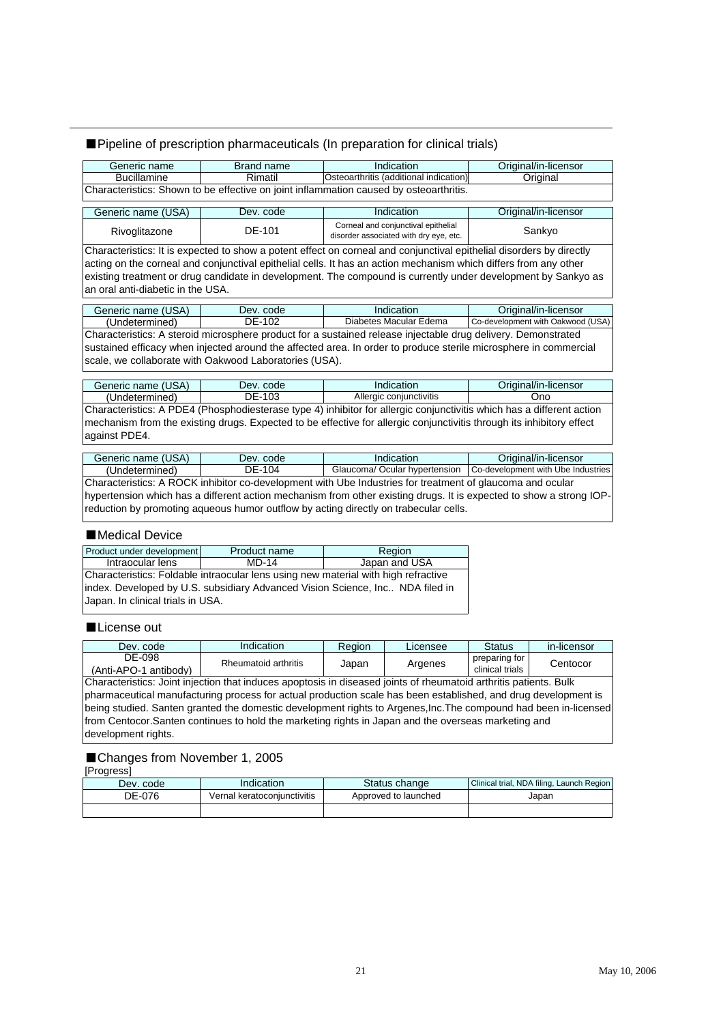### ■Pipeline of prescription pharmaceuticals (In preparation for clinical trials)

| Generic name                                                                           | Brand name<br>Indication<br>Osteoarthritis (additional indication)<br>Rimatil |                                                                               |                      |  |  |  |  |  |
|----------------------------------------------------------------------------------------|-------------------------------------------------------------------------------|-------------------------------------------------------------------------------|----------------------|--|--|--|--|--|
| <b>Bucillamine</b>                                                                     | Original                                                                      |                                                                               |                      |  |  |  |  |  |
| Characteristics: Shown to be effective on joint inflammation caused by osteoarthritis. |                                                                               |                                                                               |                      |  |  |  |  |  |
|                                                                                        |                                                                               |                                                                               |                      |  |  |  |  |  |
| Generic name (USA)                                                                     | Dev. code                                                                     | Indication                                                                    | Original/in-licensor |  |  |  |  |  |
| Rivoglitazone                                                                          | DE-101                                                                        | Corneal and conjunctival epithelial<br>disorder associated with dry eye, etc. | Sankyo               |  |  |  |  |  |

Characteristics: It is expected to show a potent effect on corneal and conjunctival epithelial disorders by directly acting on the corneal and conjunctival epithelial cells. It has an action mechanism which differs from any other existing treatment or drug candidate in development. The compound is currently under development by Sankyo as an oral anti-diabetic in the USA.

| (110 <sub>0</sub> )<br>name<br><b>Frieneric</b> | code<br>Jev | $\cdots$<br>cation                  | .<br>)rınır<br>-licensor                             |
|-------------------------------------------------|-------------|-------------------------------------|------------------------------------------------------|
| <br>edd                                         | $\sim$<br>ັ | Edema<br>. Macular<br>petes<br>Jiah | (USA)<br>deve<br>elopment with<br>Oakwood<br>$1 - 1$ |
|                                                 |             |                                     |                                                      |

Characteristics: A steroid microsphere product for a sustained release injectable drug delivery. Demonstrated sustained efficacy when injected around the affected area. In order to produce sterile microsphere in commercial scale, we collaborate with Oakwood Laboratories (USA).

| Generic name (USA)                                                                                                    | Dev. code | Indication              | Original/in-licensor |  |  |  |  |
|-----------------------------------------------------------------------------------------------------------------------|-----------|-------------------------|----------------------|--|--|--|--|
| (Undetermined)                                                                                                        | DE-103    | Allergic conjunctivitis | Ono                  |  |  |  |  |
| Characteristics: A PDE4 (Phosphodiesterase type 4) inhibitor for allergic conjunctivitis which has a different action |           |                         |                      |  |  |  |  |
| mechanism from the existing drugs. Expected to be effective for allergic conjunctivitis through its inhibitory effect |           |                         |                      |  |  |  |  |

against PDE4.

| Generic name (USA)                                                                                                  | Dev. code | Indication                    | Original/in-licensor               |  |  |  |  |  |
|---------------------------------------------------------------------------------------------------------------------|-----------|-------------------------------|------------------------------------|--|--|--|--|--|
| (Undetermined)                                                                                                      | DF-104    | Glaucoma/ Ocular hypertension | Co-development with Ube Industries |  |  |  |  |  |
| Characteristics: A ROCK inhibitor co-development with Ube Industries for treatment of glaucoma and ocular           |           |                               |                                    |  |  |  |  |  |
| hypertension which has a different action mechanism from other existing drugs. It is expected to show a strong IOP- |           |                               |                                    |  |  |  |  |  |
| reduction by promoting aqueous humor outflow by acting directly on trabecular cells.                                |           |                               |                                    |  |  |  |  |  |

#### ■Medical Device

| Product under development                                                          | Product name | Region |  |  |  |  |  |
|------------------------------------------------------------------------------------|--------------|--------|--|--|--|--|--|
| Japan and USA<br>MD-14<br>Intraocular lens                                         |              |        |  |  |  |  |  |
| Characteristics: Foldable intraocular lens using new material with high refractive |              |        |  |  |  |  |  |
| lindex. Developed by U.S. subsidiary Advanced Vision Science, Inc NDA filed in     |              |        |  |  |  |  |  |
| Japan. In clinical trials in USA.                                                  |              |        |  |  |  |  |  |

#### ■License out

| Dev. code                                                                                                                                                                                                                          | Indication           | Region | ∟icensee | <b>Status</b>   | in-licensor |  |  |
|------------------------------------------------------------------------------------------------------------------------------------------------------------------------------------------------------------------------------------|----------------------|--------|----------|-----------------|-------------|--|--|
| DE-098                                                                                                                                                                                                                             | Rheumatoid arthritis |        |          | preparing for   | 2entocor    |  |  |
| (Anti-APO-1 antibody)                                                                                                                                                                                                              |                      | Japan  | Argenes  | clinical trials |             |  |  |
| lot and the state of the state of the state of the state of the state of the state of the state of the state of<br>the contract of the contract of the contract of the contract of the contract of the contract of the contract of |                      |        |          |                 |             |  |  |

Characteristics: Joint injection that induces apoptosis in diseased joints of rheumatoid arthritis patients. Bulk pharmaceutical manufacturing process for actual production scale has been established, and drug development is being studied. Santen granted the domestic development rights to Argenes,Inc.The compound had been in-licensed from Centocor.Santen continues to hold the marketing rights in Japan and the overseas marketing and development rights.

### ■Changes from November 1, 2005

#### [Progress]

| Dev. code                             | Indication | Status change        | Clinical trial, NDA filing, Launch Region |  |
|---------------------------------------|------------|----------------------|-------------------------------------------|--|
| DE-076<br>Vernal keratoconjunctivitis |            | Approved to launched | Japan                                     |  |
|                                       |            |                      |                                           |  |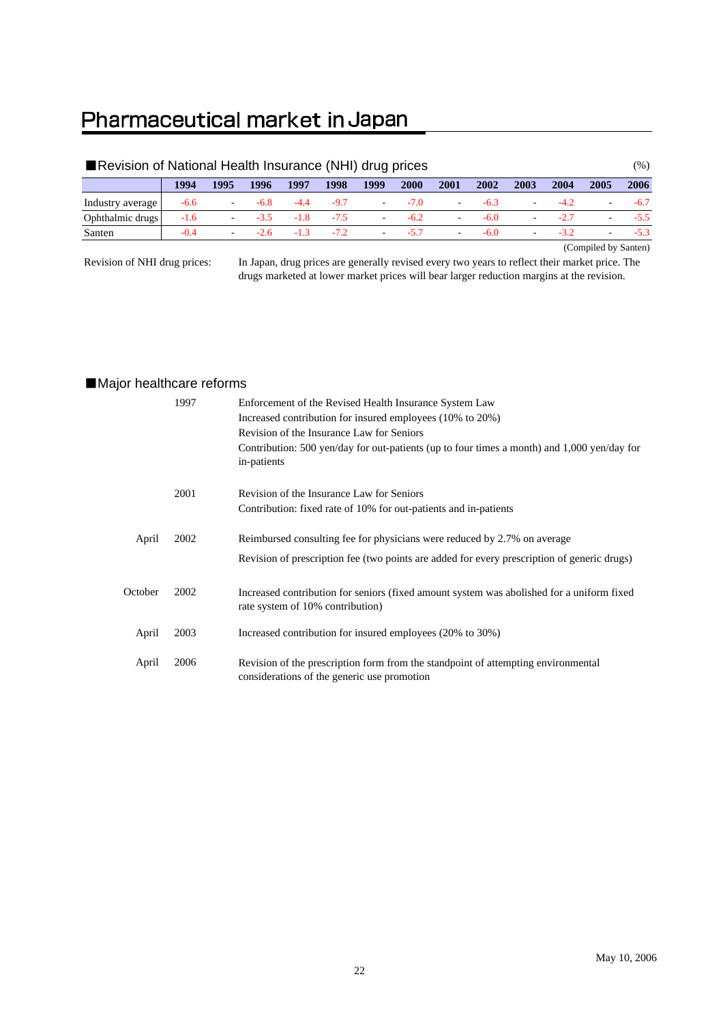# Pharmaceutical market in Japan

| Revision of National Health Insurance (NHI) drug prices |        |                          |        |        |        |                          |        |                          |        |                          | (% )  |                          |        |
|---------------------------------------------------------|--------|--------------------------|--------|--------|--------|--------------------------|--------|--------------------------|--------|--------------------------|-------|--------------------------|--------|
|                                                         | 1994   | 1995                     | 1996   | 1997   | 1998   | 1999                     | 2000   | 2001                     | 2002   | 2003                     | 2004  | 2005                     | 2006   |
| Industry average                                        | $-6.6$ | $\sim$                   | $-6.8$ | $-4.4$ | $-9.7$ | $\overline{\phantom{a}}$ | $-7.0$ | $\overline{\phantom{a}}$ | $-6.3$ | $\overline{\phantom{a}}$ |       | ۰.                       | $-6.7$ |
| Ophthalmic drugs                                        | $-1.6$ | $\sim$                   | $-3.5$ | $-1.8$ | $-7.5$ | $\sim$                   | $-6.2$ | $\overline{\phantom{a}}$ | $-6.0$ | $\sim$                   | $-27$ | $\sim$                   | $-5.5$ |
| Santen                                                  | $-0.4$ | $\overline{\phantom{a}}$ | $-26$  | $-1.3$ | $-7.2$ | $\overline{\phantom{a}}$ | $-5.7$ | $\overline{\phantom{a}}$ | $-6.0$ | ۰                        | $-32$ | $\overline{\phantom{a}}$ | $-5.3$ |
| (Compiled by Santen)                                    |        |                          |        |        |        |                          |        |                          |        |                          |       |                          |        |

Revision of NHI drug prices:

In Japan, drug prices are generally revised every two years to reflect their market price. The drugs marketed at lower market prices will bear larger reduction margins at the revision.

# ■Major healthcare reforms

|         | 1997 | Enforcement of the Revised Health Insurance System Law<br>Increased contribution for insured employees (10% to 20%)<br>Revision of the Insurance Law for Seniors<br>Contribution: 500 yen/day for out-patients (up to four times a month) and 1,000 yen/day for<br>in-patients |
|---------|------|--------------------------------------------------------------------------------------------------------------------------------------------------------------------------------------------------------------------------------------------------------------------------------|
|         | 2001 | Revision of the Insurance Law for Seniors                                                                                                                                                                                                                                      |
|         |      | Contribution: fixed rate of 10% for out-patients and in-patients                                                                                                                                                                                                               |
| April   | 2002 | Reimbursed consulting fee for physicians were reduced by 2.7% on average                                                                                                                                                                                                       |
|         |      | Revision of prescription fee (two points are added for every prescription of generic drugs)                                                                                                                                                                                    |
| October | 2002 |                                                                                                                                                                                                                                                                                |
|         |      | Increased contribution for seniors (fixed amount system was abolished for a uniform fixed<br>rate system of 10% contribution)                                                                                                                                                  |
| April   | 2003 | Increased contribution for insured employees (20% to 30%)                                                                                                                                                                                                                      |
| April   | 2006 | Revision of the prescription form from the standpoint of attempting environmental<br>considerations of the generic use promotion                                                                                                                                               |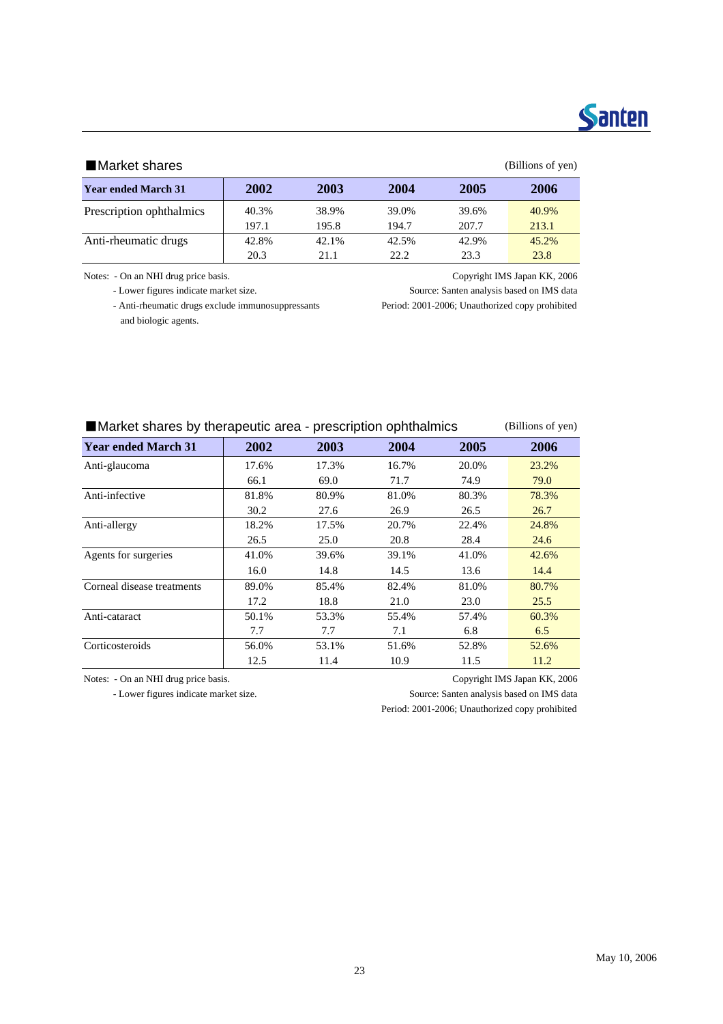# **Santen**

### ■Market shares (Billions of yen)

| $\blacksquare$             |       |       |       |       | $\epsilon$ = $\epsilon$ = $\epsilon$ = $\epsilon$ = $\epsilon$ = $\epsilon$ = $\epsilon$ = $\epsilon$ = $\epsilon$ = $\epsilon$ = $\epsilon$ = $\epsilon$ = $\epsilon$ = $\epsilon$ = $\epsilon$ = $\epsilon$ = $\epsilon$ = $\epsilon$ = $\epsilon$ = $\epsilon$ = $\epsilon$ = $\epsilon$ = $\epsilon$ = $\epsilon$ = $\epsilon$ = $\epsilon$ = $\epsilon$ = $\epsilon$ = $\epsilon$ = $\epsilon$ = $\epsilon$ = $\epsilon$ |
|----------------------------|-------|-------|-------|-------|-------------------------------------------------------------------------------------------------------------------------------------------------------------------------------------------------------------------------------------------------------------------------------------------------------------------------------------------------------------------------------------------------------------------------------|
| <b>Year ended March 31</b> | 2002  | 2003  | 2004  | 2005  | 2006                                                                                                                                                                                                                                                                                                                                                                                                                          |
| Prescription ophthalmics   | 40.3% | 38.9% | 39.0% | 39.6% | 40.9%                                                                                                                                                                                                                                                                                                                                                                                                                         |
|                            | 197.1 | 195.8 | 194.7 | 207.7 | 213.1                                                                                                                                                                                                                                                                                                                                                                                                                         |
| Anti-rheumatic drugs       | 42.8% | 42.1% | 42.5% | 42.9% | 45.2%                                                                                                                                                                                                                                                                                                                                                                                                                         |
|                            | 20.3  | 21.1  | 22.2  | 23.3  | 23.8                                                                                                                                                                                                                                                                                                                                                                                                                          |

Notes: - On an NHI drug price basis. Copyright IMS Japan KK, 2006

- Lower figures indicate market size. Source: Santen analysis based on IMS data

- Anti-rheumatic drugs exclude immunosuppressants Period: 2001-2006; Unauthorized copy prohibited

and biologic agents.

| Market shares by therapeutic area - prescription ophthalmics |       |       |       |       | (Billions of yen) |
|--------------------------------------------------------------|-------|-------|-------|-------|-------------------|
| <b>Year ended March 31</b>                                   | 2002  | 2003  | 2004  | 2005  | 2006              |
| Anti-glaucoma                                                | 17.6% | 17.3% | 16.7% | 20.0% | 23.2%             |
|                                                              | 66.1  | 69.0  | 71.7  | 74.9  | 79.0              |
| Anti-infective                                               | 81.8% | 80.9% | 81.0% | 80.3% | 78.3%             |
|                                                              | 30.2  | 27.6  | 26.9  | 26.5  | 26.7              |
| Anti-allergy                                                 | 18.2% | 17.5% | 20.7% | 22.4% | 24.8%             |
|                                                              | 26.5  | 25.0  | 20.8  | 28.4  | 24.6              |
| Agents for surgeries                                         | 41.0% | 39.6% | 39.1% | 41.0% | 42.6%             |
|                                                              | 16.0  | 14.8  | 14.5  | 13.6  | 14.4              |
| Corneal disease treatments                                   | 89.0% | 85.4% | 82.4% | 81.0% | 80.7%             |
|                                                              | 17.2  | 18.8  | 21.0  | 23.0  | 25.5              |
| Anti-cataract                                                | 50.1% | 53.3% | 55.4% | 57.4% | 60.3%             |
|                                                              | 7.7   | 7.7   | 7.1   | 6.8   | 6.5               |
| Corticosteroids                                              | 56.0% | 53.1% | 51.6% | 52.8% | 52.6%             |
|                                                              | 12.5  | 11.4  | 10.9  | 11.5  | 11.2              |

Notes: - On an NHI drug price basis. Copyright IMS Japan KK, 2006

- Lower figures indicate market size. Source: Santen analysis based on IMS data Period: 2001-2006; Unauthorized copy prohibited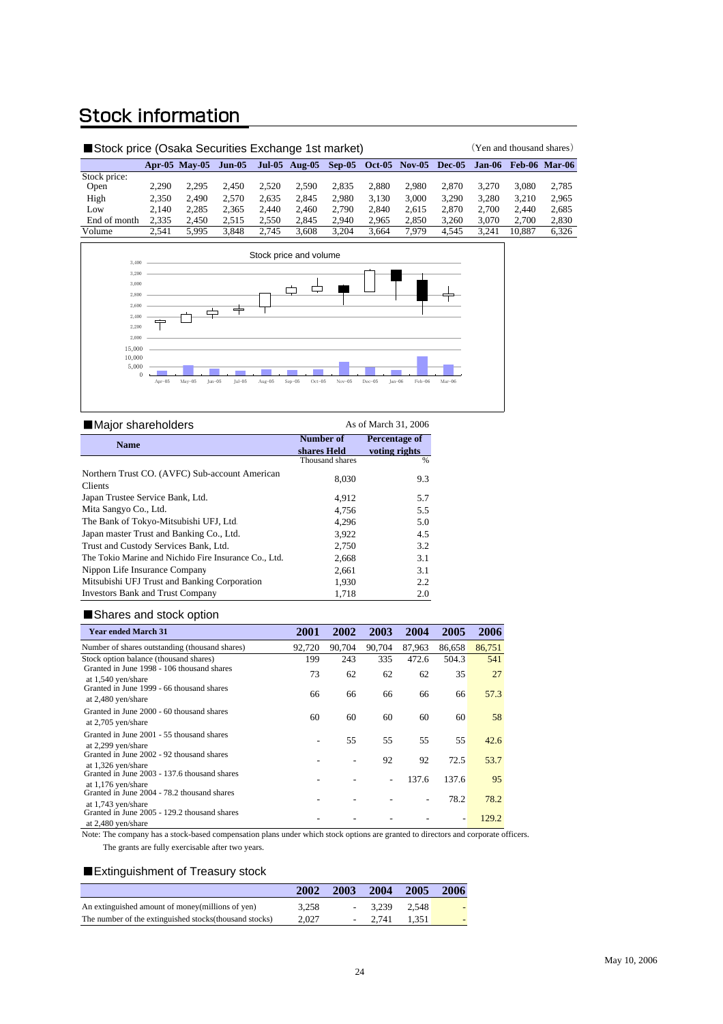# **Stock information**

| ■Stock price (Osaka Securities Exchange 1st market) |       |                      |        |       |                                           |       |       |       |       | (Yen and thousand shares) |        |                      |
|-----------------------------------------------------|-------|----------------------|--------|-------|-------------------------------------------|-------|-------|-------|-------|---------------------------|--------|----------------------|
|                                                     |       | <b>Apr-05 May-05</b> | Jun-05 |       | Jul-05 Aug-05 Sep-05 Oct-05 Nov-05 Dec-05 |       |       |       |       | $Jan-06$                  |        | <b>Feb-06 Mar-06</b> |
| Stock price:                                        |       |                      |        |       |                                           |       |       |       |       |                           |        |                      |
| Open                                                | 2.290 | 2.295                | 2.450  | 2.520 | 2.590                                     | 2.835 | 2.880 | 2.980 | 2.870 | 3.270                     | 3.080  | 2.785                |
| High                                                | 2.350 | 2.490                | 2.570  | 2.635 | 2.845                                     | 2.980 | 3.130 | 3.000 | 3.290 | 3.280                     | 3.210  | 2,965                |
| Low                                                 | 2.140 | 2.285                | 2.365  | 2.440 | 2.460                                     | 2.790 | 2.840 | 2.615 | 2.870 | 2.700                     | 2.440  | 2,685                |
| End of month                                        | 2.335 | 2.450                | 2.515  | 2.550 | 2.845                                     | 2.940 | 2.965 | 2.850 | 3.260 | 3.070                     | 2.700  | 2,830                |
| Volume                                              | 2.541 | 5.995                | 3.848  | 2.745 | 3.608                                     | 3.204 | 3.664 | 7.979 | 4.545 | 3.241                     | 10.887 | 6.326                |



| Major shareholders                                    | As of March 31, 2006 |               |  |  |  |
|-------------------------------------------------------|----------------------|---------------|--|--|--|
| <b>Name</b>                                           | Number of            | Percentage of |  |  |  |
|                                                       | shares Held          | voting rights |  |  |  |
|                                                       | Thousand shares      | $\frac{0}{0}$ |  |  |  |
| Northern Trust CO. (AVFC) Sub-account American        |                      |               |  |  |  |
| Clients                                               | 8.030                | 9.3           |  |  |  |
| Japan Trustee Service Bank, Ltd.                      | 4.912                | 5.7           |  |  |  |
| Mita Sangyo Co., Ltd.                                 | 4,756                | 5.5           |  |  |  |
| The Bank of Tokyo-Mitsubishi UFJ, Ltd.                | 4,296                | 5.0           |  |  |  |
| Japan master Trust and Banking Co., Ltd.              | 3,922                | 4.5           |  |  |  |
| Trust and Custody Services Bank, Ltd.                 | 2.750                | 3.2           |  |  |  |
| The Tokio Marine and Nichido Fire Insurance Co., Ltd. | 2,668                | 3.1           |  |  |  |
| Nippon Life Insurance Company                         | 2,661                | 3.1           |  |  |  |
| Mitsubishi UFJ Trust and Banking Corporation          | 1,930                | 2.2           |  |  |  |
| <b>Investors Bank and Trust Company</b>               | 1,718                | 2.0           |  |  |  |

#### ■Shares and stock option

| <b>Year ended March 31</b>                                                               | 2001           | 2002   | 2003                     | 2004           | 2005   | 2006   |
|------------------------------------------------------------------------------------------|----------------|--------|--------------------------|----------------|--------|--------|
| Number of shares outstanding (thousand shares)                                           | 92.720         | 90.704 | 90,704                   | 87,963         | 86,658 | 86,751 |
| Stock option balance (thousand shares)                                                   | 199            | 243    | 335                      | 472.6          | 504.3  | 541    |
| Granted in June 1998 - 106 thousand shares<br>at 1,540 yen/share                         | 73             | 62     | 62                       | 62             | 35     | 27     |
| Granted in June 1999 - 66 thousand shares<br>at 2,480 yen/share                          | 66             | 66     | 66                       | 66             | 66     | 57.3   |
| Granted in June 2000 - 60 thousand shares<br>at 2,705 yen/share                          | 60             | 60     | 60                       | 60             | 60     | 58     |
| Granted in June 2001 - 55 thousand shares<br>at 2,299 yen/share                          | $\overline{a}$ | 55     | 55                       | 55             | 55     | 42.6   |
| Granted in June 2002 - 92 thousand shares<br>at 1,326 yen/share                          |                |        | 92                       | 92             | 72.5   | 53.7   |
| Granted in June 2003 - 137.6 thousand shares                                             |                |        | $\overline{\phantom{0}}$ | 137.6          | 137.6  | 95     |
| at 1,176 yen/share<br>Granted in June 2004 - 78.2 thousand shares                        |                |        |                          | $\overline{a}$ | 78.2   | 78.2   |
| at 1,743 yen/share<br>Granted in June 2005 - 129.2 thousand shares<br>at 2,480 yen/share |                |        |                          |                |        | 129.2  |

Note: The company has a stock-based compensation plans under which stock options are granted to directors and corporate officers.

The grants are fully exercisable after two years.

## ■Extinguishment of Treasury stock

|                                                         | 2002  | 2003 | 2004     | 2005  | 2006 |
|---------------------------------------------------------|-------|------|----------|-------|------|
| An extinguished amount of money (millions of yen)       | 3.258 |      | $-3.239$ | 2.548 |      |
| The number of the extinguished stocks (thousand stocks) | 2.027 |      | $-2.741$ | 1.351 |      |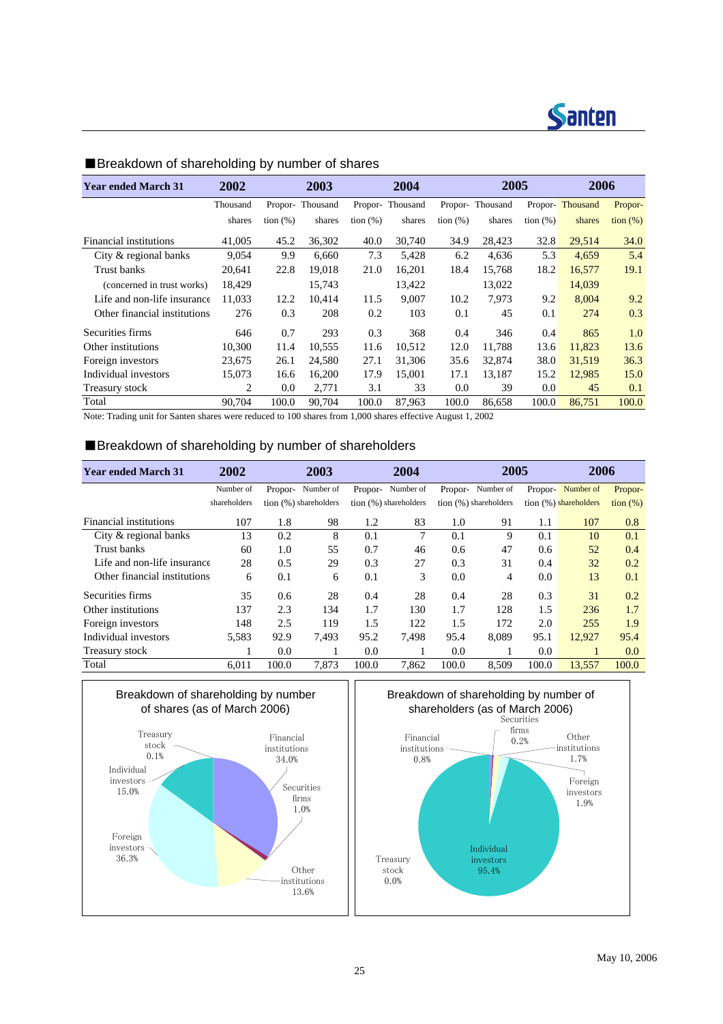

| <b>Year ended March 31</b>   | 2002     |             | 2005<br>2004<br>2003 |             |                 |             | 2006            |             |                 |                   |
|------------------------------|----------|-------------|----------------------|-------------|-----------------|-------------|-----------------|-------------|-----------------|-------------------|
|                              | Thousand |             | Propor-Thousand      |             | Propor-Thousand |             | Propor-Thousand |             | Propor-Thousand | Propor-           |
|                              | shares   | tion $(\%)$ | shares               | tion $(\%)$ | shares          | tion $(\%)$ | shares          | tion $(\%)$ | shares          | $\frac{1}{2}$ (%) |
| Financial institutions       | 41,005   | 45.2        | 36,302               | 40.0        | 30.740          | 34.9        | 28,423          | 32.8        | 29,514          | 34.0              |
| City & regional banks        | 9,054    | 9.9         | 6.660                | 7.3         | 5.428           | 6.2         | 4,636           | 5.3         | 4,659           | 5.4               |
| Trust banks                  | 20,641   | 22.8        | 19.018               | 21.0        | 16,201          | 18.4        | 15,768          | 18.2        | 16,577          | 19.1              |
| (concerned in trust works)   | 18,429   |             | 15,743               |             | 13,422          |             | 13,022          |             | 14,039          |                   |
| Life and non-life insurance  | 11,033   | 12.2        | 10.414               | 11.5        | 9.007           | 10.2        | 7,973           | 9.2         | 8,004           | 9.2               |
| Other financial institutions | 276      | 0.3         | 208                  | 0.2         | 103             | 0.1         | 45              | 0.1         | 274             | 0.3               |
| Securities firms             | 646      | 0.7         | 293                  | 0.3         | 368             | 0.4         | 346             | 0.4         | 865             | 1.0               |
| Other institutions           | 10,300   | 11.4        | 10,555               | 11.6        | 10,512          | 12.0        | 11,788          | 13.6        | 11,823          | 13.6              |
| Foreign investors            | 23,675   | 26.1        | 24,580               | 27.1        | 31,306          | 35.6        | 32,874          | 38.0        | 31,519          | 36.3              |
| Individual investors         | 15,073   | 16.6        | 16,200               | 17.9        | 15.001          | 17.1        | 13,187          | 15.2        | 12.985          | 15.0              |
| Treasury stock               | 2        | 0.0         | 2,771                | 3.1         | 33              | 0.0         | 39              | 0.0         | 45              | 0.1               |
| Total                        | 90.704   | 100.0       | 90.704               | 100.0       | 87,963          | 100.0       | 86.658          | 100.0       | 86.751          | 100.0             |

# ■Breakdown of shareholding by number of shares

Note: Trading unit for Santen shares were reduced to 100 shares from 1,000 shares effective August 1, 2002

#### ■Breakdown of shareholding by number of shareholders

| <b>Year ended March 31</b>   | 2002         |         | 2003                  |         | 2004                    |       | 2005                    |         | 2006                     |                   |
|------------------------------|--------------|---------|-----------------------|---------|-------------------------|-------|-------------------------|---------|--------------------------|-------------------|
|                              | Number of    | Propor- | Number of             | Propor- | Number of               |       | Propor-Number of        | Propor- | Number of                | Propor-           |
|                              | shareholders |         | tion (%) shareholders |         | tion $(%)$ shareholders |       | tion $(%)$ shareholders |         | tion $(\%)$ shareholders | $\frac{1}{2}$ (%) |
| Financial institutions       | 107          | 1.8     | 98                    | 1.2     | 83                      | 1.0   | 91                      | 1.1     | 107                      | 0.8               |
| City & regional banks        | 13           | 0.2     | 8                     | 0.1     | 7                       | 0.1   | 9                       | 0.1     | 10                       | 0.1               |
| Trust banks                  | 60           | 1.0     | 55                    | 0.7     | 46                      | 0.6   | 47                      | 0.6     | 52                       | 0.4               |
| Life and non-life insurance  | 28           | 0.5     | 29                    | 0.3     | 27                      | 0.3   | 31                      | 0.4     | 32                       | 0.2               |
| Other financial institutions | 6            | 0.1     | 6                     | 0.1     | 3                       | 0.0   | 4                       | 0.0     | 13                       | 0.1               |
| Securities firms             | 35           | 0.6     | 28                    | 0.4     | 28                      | 0.4   | 28                      | 0.3     | 31                       | 0.2               |
| Other institutions           | 137          | 2.3     | 134                   | 1.7     | 130                     | 1.7   | 128                     | 1.5     | 236                      | 1.7               |
| Foreign investors            | 148          | 2.5     | 119                   | 1.5     | 122                     | 1.5   | 172                     | 2.0     | 255                      | 1.9               |
| Individual investors         | 5,583        | 92.9    | 7.493                 | 95.2    | 7.498                   | 95.4  | 8.089                   | 95.1    | 12,927                   | 95.4              |
| Treasury stock               |              | 0.0     |                       | 0.0     |                         | 0.0   |                         | 0.0     |                          | 0.0               |
| Total                        | 6.011        | 100.0   | 7.873                 | 100.0   | 7.862                   | 100.0 | 8.509                   | 100.0   | 13,557                   | 100.0             |



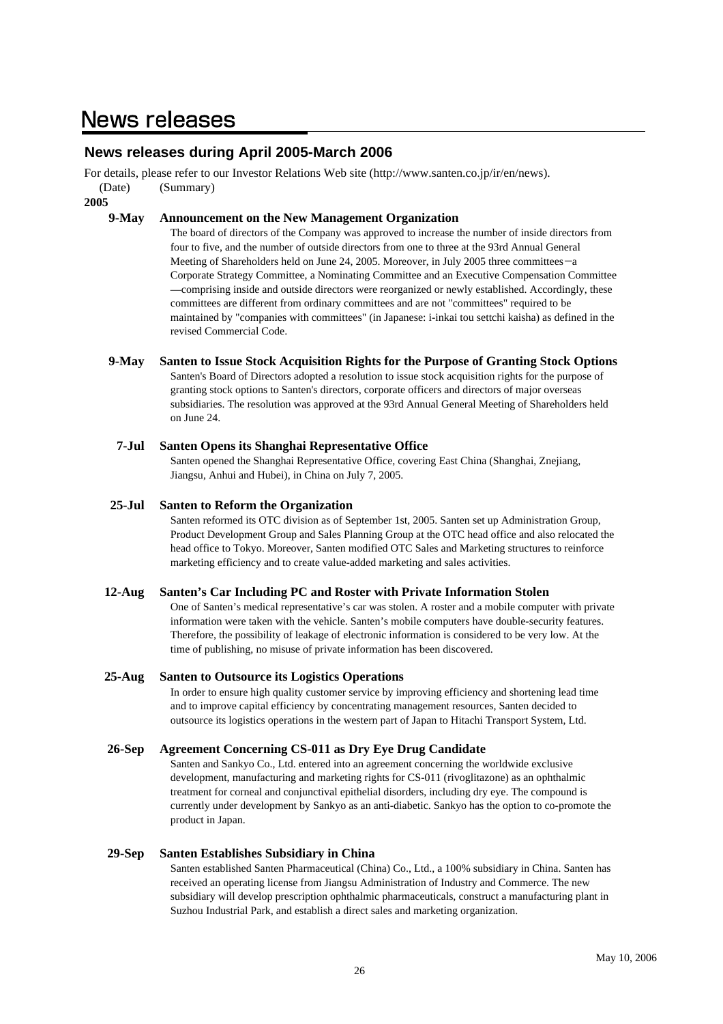# **News releases**

# **News releases during April 2005-March 2006**

For details, please refer to our Investor Relations Web site (http://www.santen.co.jp/ir/en/news).

(Date) (Summary)

**2005**

# **9-May Announcement on the New Management Organization**

The board of directors of the Company was approved to increase the number of inside directors from four to five, and the number of outside directors from one to three at the 93rd Annual General Meeting of Shareholders held on June 24, 2005. Moreover, in July 2005 three committees—a Corporate Strategy Committee, a Nominating Committee and an Executive Compensation Committee —comprising inside and outside directors were reorganized or newly established. Accordingly, these committees are different from ordinary committees and are not "committees" required to be maintained by "companies with committees" (in Japanese: i-inkai tou settchi kaisha) as defined in the revised Commercial Code.

### **9-May Santen to Issue Stock Acquisition Rights for the Purpose of Granting Stock Options**

Santen's Board of Directors adopted a resolution to issue stock acquisition rights for the purpose of granting stock options to Santen's directors, corporate officers and directors of major overseas subsidiaries. The resolution was approved at the 93rd Annual General Meeting of Shareholders held on June 24.

### **7-Jul Santen Opens its Shanghai Representative Office**

Santen opened the Shanghai Representative Office, covering East China (Shanghai, Znejiang, Jiangsu, Anhui and Hubei), in China on July 7, 2005.

### **25-Jul Santen to Reform the Organization**

Santen reformed its OTC division as of September 1st, 2005. Santen set up Administration Group, Product Development Group and Sales Planning Group at the OTC head office and also relocated the head office to Tokyo. Moreover, Santen modified OTC Sales and Marketing structures to reinforce marketing efficiency and to create value-added marketing and sales activities.

### **12-Aug Santen's Car Including PC and Roster with Private Information Stolen**

One of Santen's medical representative's car was stolen. A roster and a mobile computer with private information were taken with the vehicle. Santen's mobile computers have double-security features. Therefore, the possibility of leakage of electronic information is considered to be very low. At the time of publishing, no misuse of private information has been discovered.

### **25-Aug Santen to Outsource its Logistics Operations**

In order to ensure high quality customer service by improving efficiency and shortening lead time and to improve capital efficiency by concentrating management resources, Santen decided to outsource its logistics operations in the western part of Japan to Hitachi Transport System, Ltd.

### **26-Sep Agreement Concerning CS-011 as Dry Eye Drug Candidate**

Santen and Sankyo Co., Ltd. entered into an agreement concerning the worldwide exclusive development, manufacturing and marketing rights for CS-011 (rivoglitazone) as an ophthalmic treatment for corneal and conjunctival epithelial disorders, including dry eye. The compound is currently under development by Sankyo as an anti-diabetic. Sankyo has the option to co-promote the product in Japan.

### **29-Sep Santen Establishes Subsidiary in China**

Santen established Santen Pharmaceutical (China) Co., Ltd., a 100% subsidiary in China. Santen has received an operating license from Jiangsu Administration of Industry and Commerce. The new subsidiary will develop prescription ophthalmic pharmaceuticals, construct a manufacturing plant in Suzhou Industrial Park, and establish a direct sales and marketing organization.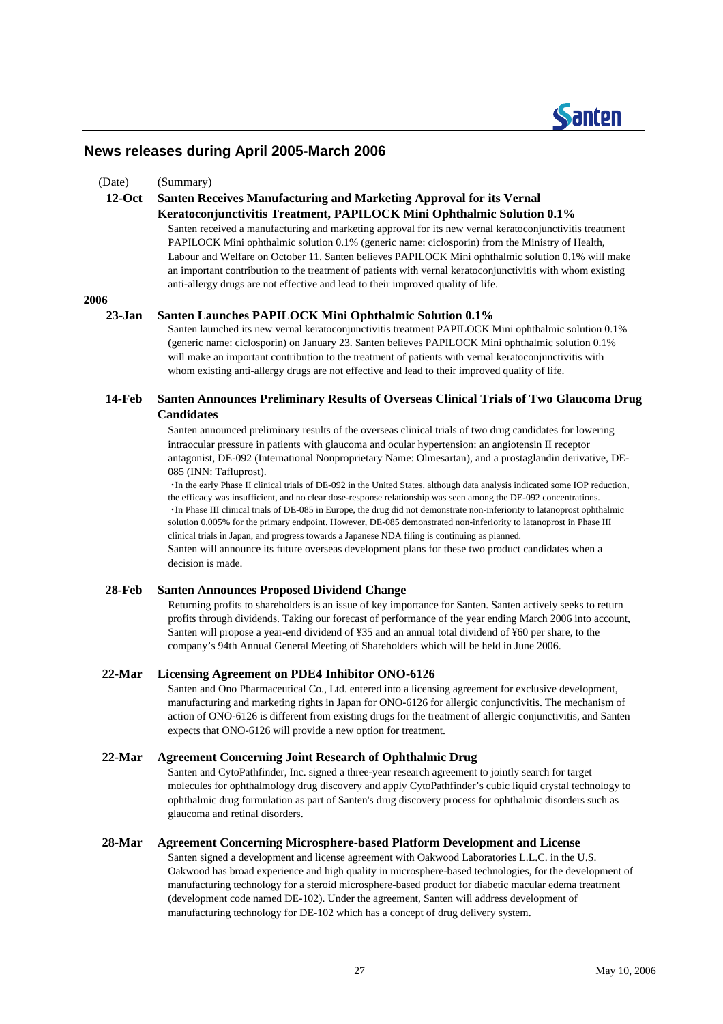**Santen** 

## **News releases during April 2005-March 2006**

#### (Date) (Summary)

#### **12-Oct Santen Receives Manufacturing and Marketing Approval for its Vernal Keratoconjunctivitis Treatment, PAPILOCK Mini Ophthalmic Solution 0.1%**

Santen received a manufacturing and marketing approval for its new vernal keratoconjunctivitis treatment PAPILOCK Mini ophthalmic solution 0.1% (generic name: ciclosporin) from the Ministry of Health, Labour and Welfare on October 11. Santen believes PAPILOCK Mini ophthalmic solution 0.1% will make an important contribution to the treatment of patients with vernal keratoconjunctivitis with whom existing anti-allergy drugs are not effective and lead to their improved quality of life.

#### **2006**

#### **23-Jan Santen Launches PAPILOCK Mini Ophthalmic Solution 0.1%**

Santen launched its new vernal keratoconjunctivitis treatment PAPILOCK Mini ophthalmic solution 0.1% (generic name: ciclosporin) on January 23. Santen believes PAPILOCK Mini ophthalmic solution 0.1% will make an important contribution to the treatment of patients with vernal keratoconjunctivitis with whom existing anti-allergy drugs are not effective and lead to their improved quality of life.

#### **14-Feb Santen Announces Preliminary Results of Overseas Clinical Trials of Two Glaucoma Drug Candidates**

Santen announced preliminary results of the overseas clinical trials of two drug candidates for lowering intraocular pressure in patients with glaucoma and ocular hypertension: an angiotensin II receptor antagonist, DE-092 (International Nonproprietary Name: Olmesartan), and a prostaglandin derivative, DE-085 (INN: Tafluprost).

・In the early Phase II clinical trials of DE-092 in the United States, although data analysis indicated some IOP reduction, the efficacy was insufficient, and no clear dose-response relationship was seen among the DE-092 concentrations. ・In Phase III clinical trials of DE-085 in Europe, the drug did not demonstrate non-inferiority to latanoprost ophthalmic solution 0.005% for the primary endpoint. However, DE-085 demonstrated non-inferiority to latanoprost in Phase III clinical trials in Japan, and progress towards a Japanese NDA filing is continuing as planned.

Santen will announce its future overseas development plans for these two product candidates when a decision is made.

### **28-Feb Santen Announces Proposed Dividend Change**

Returning profits to shareholders is an issue of key importance for Santen. Santen actively seeks to return profits through dividends. Taking our forecast of performance of the year ending March 2006 into account, Santen will propose a year-end dividend of ¥35 and an annual total dividend of ¥60 per share, to the company's 94th Annual General Meeting of Shareholders which will be held in June 2006.

#### **22-Mar Licensing Agreement on PDE4 Inhibitor ONO-6126**

Santen and Ono Pharmaceutical Co., Ltd. entered into a licensing agreement for exclusive development, manufacturing and marketing rights in Japan for ONO-6126 for allergic conjunctivitis. The mechanism of action of ONO-6126 is different from existing drugs for the treatment of allergic conjunctivitis, and Santen expects that ONO-6126 will provide a new option for treatment.

#### **22-Mar Agreement Concerning Joint Research of Ophthalmic Drug**

Santen and CytoPathfinder, Inc. signed a three-year research agreement to jointly search for target molecules for ophthalmology drug discovery and apply CytoPathfinder's cubic liquid crystal technology to ophthalmic drug formulation as part of Santen's drug discovery process for ophthalmic disorders such as glaucoma and retinal disorders.

#### **28-Mar Agreement Concerning Microsphere-based Platform Development and License**

Santen signed a development and license agreement with Oakwood Laboratories L.L.C. in the U.S. Oakwood has broad experience and high quality in microsphere-based technologies, for the development of manufacturing technology for a steroid microsphere-based product for diabetic macular edema treatment (development code named DE-102). Under the agreement, Santen will address development of manufacturing technology for DE-102 which has a concept of drug delivery system.